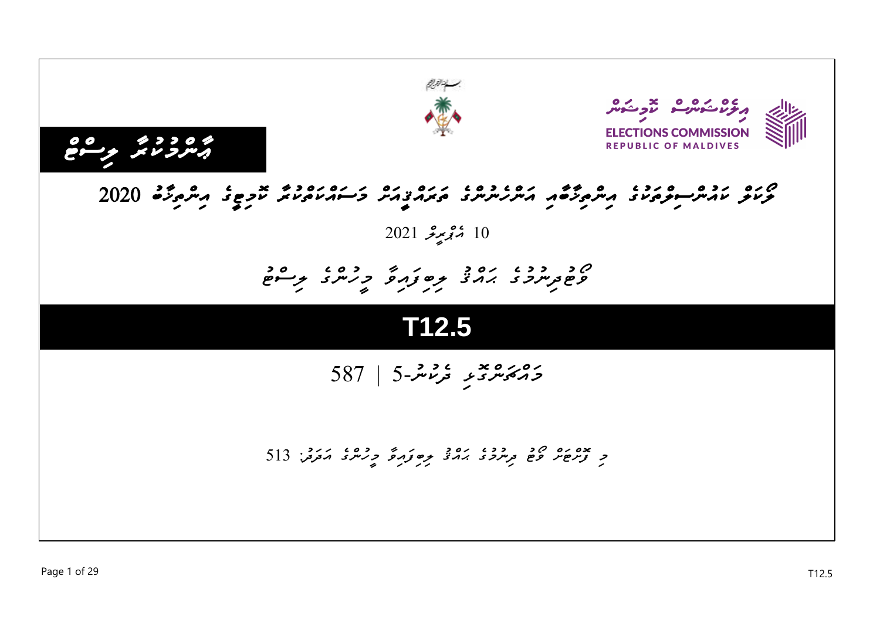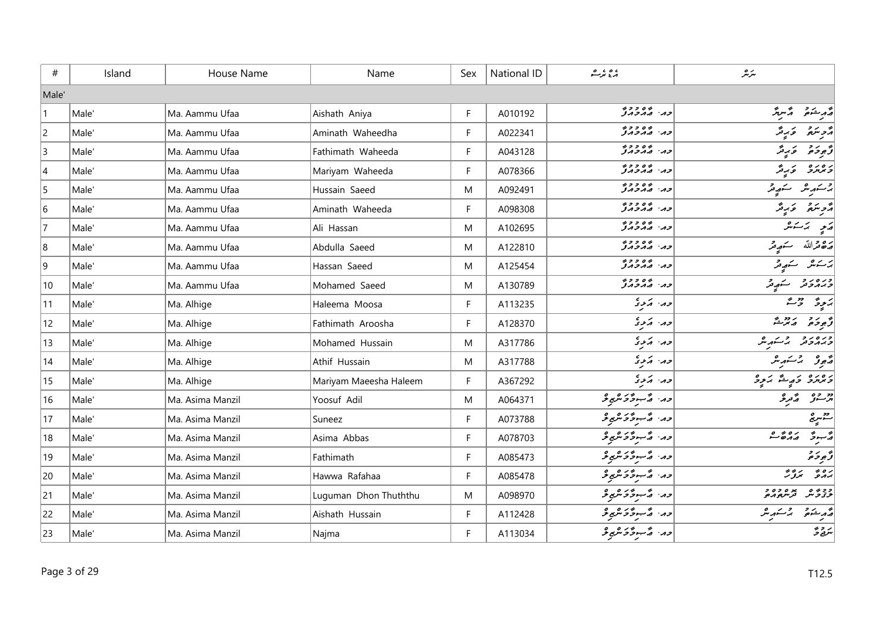| #               | Island | House Name       | Name                   | Sex         | National ID | ، ه ، ره<br>مربح ترت                   | ىئرىتر                                        |
|-----------------|--------|------------------|------------------------|-------------|-------------|----------------------------------------|-----------------------------------------------|
| Male'           |        |                  |                        |             |             |                                        |                                               |
| 1               | Male'  | Ma. Aammu Ufaa   | Aishath Aniya          | $\mathsf F$ | A010192     | בגי גמכבש<br><i>בגי ג</i> אבאצ         | گەسىر<br>ا پر مه شوه د                        |
| 2               | Male'  | Ma. Aammu Ufaa   | Aminath Waheedha       | F           | A022341     |                                        | أأدح مكروم أوالمحر وتكر                       |
| $\vert$ 3       | Male'  | Ma. Aammu Ufaa   | Fathimath Waheeda      | F           | A043128     |                                        | ا تو پر چه د<br>ءَ ٻرقر                       |
| $\vert 4$       | Male'  | Ma. Aammu Ufaa   | Mariyam Waheeda        | F           | A078366     | ים ביני<br>הג' הגבה צ                  | ر ہ ر ہ<br>تر <del>ب</del> ر بر ژ<br>ءَ پرتگر |
| $\overline{5}$  | Male'  | Ma. Aammu Ufaa   | Hussain Saeed          | M           | A092491     |                                        | چە سەر شەر سەر بىر                            |
| $\vert 6 \vert$ | Male'  | Ma. Aammu Ufaa   | Aminath Waheeda        | $\mathsf F$ | A098308     | בגי גמכבד.<br>בגי הגבגצ                | أأترجع أقاربته                                |
| 7               | Male'  | Ma. Aammu Ufaa   | Ali Hassan             | M           | A102695     |                                        | أەي ئەسكىر                                    |
| 8               | Male'  | Ma. Aammu Ufaa   | Abdulla Saeed          | M           | A122810     | 42204<br>3A3AA * A3                    | <mark>رەت</mark> داللە سەمبەتر                |
| 9               | Male'  | Ma. Aammu Ufaa   | Hassan Saeed           | M           | A125454     | s ? ? ? 4<br>3 A P A A - A P           | پرستور سند پیر<br>  پرستور سند پیر            |
| 10              | Male'  | Ma. Aammu Ufaa   | Mohamed Saeed          | M           | A130789     |                                        | وره رو درو                                    |
| 11              | Male'  | Ma. Alhige       | Haleema Moosa          | F           | A113235     | ود. پروژ                               | پر پڑھ اور ح                                  |
| 12              | Male'  | Ma. Alhige       | Fathimath Aroosha      | F           | A128370     | ود کرد ک                               | أثر بردد و بردد م                             |
| 13              | Male'  | Ma. Alhige       | Mohamed Hussain        | ${\sf M}$   | A317786     | وړ٠ پرکر کا                            | ورەرو ورىدىگ                                  |
| 14              | Male'  | Ma. Alhige       | Athif Hussain          | ${\sf M}$   | A317788     | ود کرد ک                               | ە بۇ ئەسەر شەر                                |
| 15              | Male'  | Ma. Alhige       | Mariyam Maeesha Haleem | F           | A367292     | ود کرد ک                               | د برمرو   دَړیدٌ   ډیږو                       |
| 16              | Male'  | Ma. Asima Manzil | Yoosuf Adil            | M           | A064371     | رە. ئ <i>ەجوڭرىمبى</i> ر               | ەر ئەرى<br>دد و ه<br>در سور                   |
| 17              | Male'  | Ma. Asima Manzil | Suneez                 | F           | A073788     | ور. ئ <i>ۇسوۋۇ</i> تىر <sub>ى</sub> مۇ | مشهي                                          |
| 18              | Male'  | Ma. Asima Manzil | Asima Abbas            | F           | A078703     | رە. ئ <i>ەسرۇۋىلى</i> رۇ               | رەپچە<br>وڻبوڙ                                |
| 19              | Male'  | Ma. Asima Manzil | Fathimath              | F           | A085473     | دە. ئ <i>ەسرۇكەتلى</i> رۇ              | د پوځ په                                      |
| 20              | Male'  | Ma. Asima Manzil | Hawwa Rafahaa          | F           | A085478     | رە. ئ <i>ەسرۇۋىلى</i> رۇ               | رە پەر                                        |
| 21              | Male'  | Ma. Asima Manzil | Luguman Dhon Thuththu  | M           | A098970     | رە. ئ <i>ەسرۇۋىلى</i> رۇ               | ووځ مه موه وه و<br>مرتحن مرسومن               |
| 22              | Male'  | Ma. Asima Manzil | Aishath Hussain        | F           | A112428     | رە. ئ <i>ەجوڭرىمبى</i> ر               | ۇرىشقى برگىرىگ                                |
| 23              | Male'  | Ma. Asima Manzil | Najma                  | F           | A113034     | رە. ئ <i>ەجەددە</i> ئىربى              | سرچ گ                                         |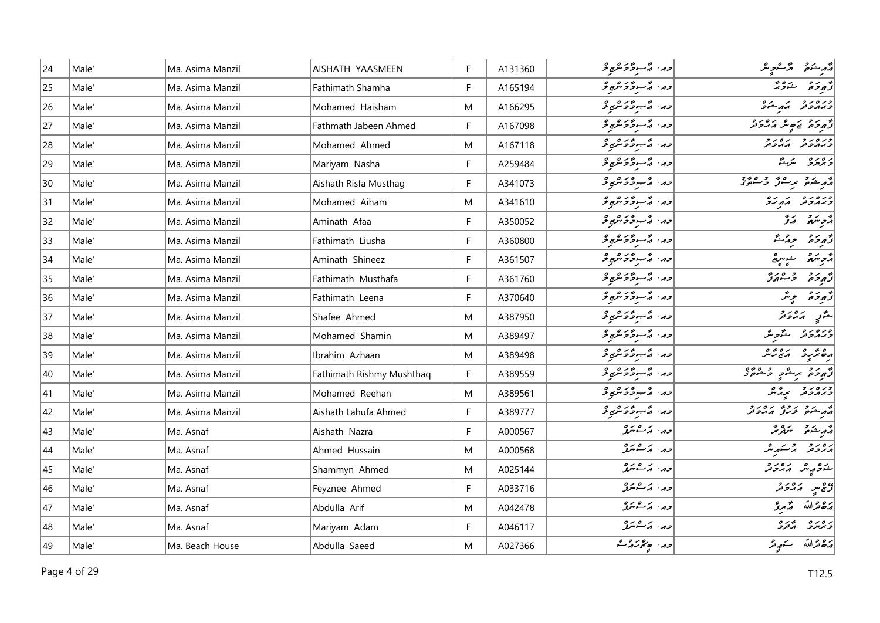| 24           | Male' | Ma. Asima Manzil | AISHATH YAASMEEN          | F. | A131360 | رە. ئ <i>ەسرۇۋىلى</i> رۇ                | و د شوه و مرکب د میگردد.<br>مرکب د مرکب د مرکب در مرکب در مرکب در مرکب در مرکب در مرکب در مرکب در مرکب در مرکب در |
|--------------|-------|------------------|---------------------------|----|---------|-----------------------------------------|-------------------------------------------------------------------------------------------------------------------|
| 25           | Male' | Ma. Asima Manzil | Fathimath Shamha          | F  | A165194 | رە. ئ <i>ۇسوۋۇ</i> ترى <sub>م</sub> ۇ   | و ده ده و                                                                                                         |
| 26           | Male' | Ma. Asima Manzil | Mohamed Haisham           | M  | A166295 | رە. ئ <i>ەجەددە</i> ئىربۇ               | ورەرو پەرشو                                                                                                       |
| 27           | Male' | Ma. Asima Manzil | Fathmath Jabeen Ahmed     | F. | A167098 | ور. ئەسرىگە ئىرىگى                      | و و ده ده سره ده د د                                                                                              |
| 28           | Male' | Ma. Asima Manzil | Mohamed Ahmed             | M  | A167118 | رە. ئ <sup>ې</sup> بىر <i>ۇ ئەتتى</i> ئ | כנסנכ נסנכ<br>כגמכת <mark>ה</mark> גבת                                                                            |
| 29           | Male' | Ma. Asima Manzil | Mariyam Nasha             | F  | A259484 | دە. ئ <i>ەسوۋۇ</i> ش <sub>ك</sub> و     | رەرە بىرگ                                                                                                         |
| 30           | Male' | Ma. Asima Manzil | Aishath Risfa Musthag     | F. | A341073 | ەر. ئ <i>ۇجۇڭ</i> رىمبۇ                 | ر<br>ر <sub>گ</sub> ر شکو برسوژ و سور                                                                             |
| 31           | Male' | Ma. Asima Manzil | Mohamed Aiham             | M  | A341610 | رە. ئ <i>ۇسوۋۇ</i> ترى <sub>م</sub> ۇ   | בממכי התמכ                                                                                                        |
| 32           | Male' | Ma. Asima Manzil | Aminath Afaa              | F  | A350052 | رە. ئ <sup>ې</sup> بىر <i>ۇ ئەتتى</i> ئ | أزويتهم أروم                                                                                                      |
| 33           | Male' | Ma. Asima Manzil | Fathimath Liusha          | F  | A360800 | رە. ئ <i>ەسوۋۇ</i> ش <sub>كۈ</sub> ۋ    | أزودتم ورثث                                                                                                       |
| 34           | Male' | Ma. Asima Manzil | Aminath Shineez           | F. | A361507 | رە. ئ <i>ەجەدد</i> ئىرى                 | أأوسكم سنوسي                                                                                                      |
| 35           | Male' | Ma. Asima Manzil | Fathimath Musthafa        | F  | A361760 | رە. ئ <i>ەجەددە</i> ئىربۇ               | د ۱۵۷۵.<br>تر بېرموتو<br>وحجوحهم                                                                                  |
| 36           | Male' | Ma. Asima Manzil | Fathimath Leena           | F. | A370640 | ەر. ئ <i>ۇجۇڭ</i> رىمبو                 | ۇ <sub>ج</sub> ودۇ بېتر                                                                                           |
| 37           | Male' | Ma. Asima Manzil | Shafee Ahmed              | M  | A387950 | ەر. ئ <i>ۇجۇڭ</i> رىمبۇ                 | المشمو <sub>ر</sub> مركز در د                                                                                     |
| 38           | Male' | Ma. Asima Manzil | Mohamed Shamin            | M  | A389497 | رە. ئ <i>ەجەدد</i> گىرى                 | ورەر دېمبۇر شەر                                                                                                   |
| 39           | Male' | Ma. Asima Manzil | Ibrahim Azhaan            | M  | A389498 | ور. ئ <i>ۇجۇڭ ئىبى</i> ۋ                | رە ئرىرو بەر ئور                                                                                                  |
| $ 40\rangle$ | Male' | Ma. Asima Manzil | Fathimath Rishmy Mushthaq | F. | A389559 | رە. ئ <i>ەجەۋۇش<sub>ك</sub>ى</i> ۋ      | و و ده برشو و شوه و                                                                                               |
| 41           | Male' | Ma. Asima Manzil | Mohamed Reehan            | M  | A389561 | رە. ئ <i>ەسرۇۋىلى</i> رۇ                | ورەرو برگىر                                                                                                       |
| 42           | Male' | Ma. Asima Manzil | Aishath Lahufa Ahmed      | F. | A389777 | رە. ئ <i>ۇسوڭۇ</i> ئىربۇ                | و در در دور در در در د                                                                                            |
| 43           | Male' | Ma. Asnaf        | Aishath Nazra             | F  | A000567 | ور. ئەسەتتر                             | وكرمشكم المتفرع                                                                                                   |
| 44           | Male' | Ma. Asnaf        | Ahmed Hussain             | M  | A000568 | وړ کړې شره                              | أرەرو وسورى                                                                                                       |
| 45           | Male' | Ma. Asnaf        | Shammyn Ahmed             | M  | A025144 | ور. ئەسەسىۋ                             | شكور مدارد                                                                                                        |
| 46           | Male' | Ma. Asnaf        | Feyznee Ahmed             | F  | A033716 | ور. برَ شهرٌ                            | أوجي سي مركز ورو                                                                                                  |
| 47           | Male' | Ma. Asnaf        | Abdulla Arif              | M  | A042478 | حەر. ئەسەسىرى<br>مە                     | رەقراللە<br>ە ئىسىرى                                                                                              |
| 48           | Male' | Ma. Asnaf        | Mariyam Adam              | F. | A046117 | وړ· مُر شر <i>ندو</i>                   | ر ه ر ه<br><del>ر</del> بربرگر<br>پر ہ<br>مرتزو                                                                   |
| 49           | Male' | Ma. Beach House  | Abdulla Saeed             | M  | A027366 | $0.3180 - 12$                           | رەقمەللە سەمەمر                                                                                                   |
|              |       |                  |                           |    |         |                                         |                                                                                                                   |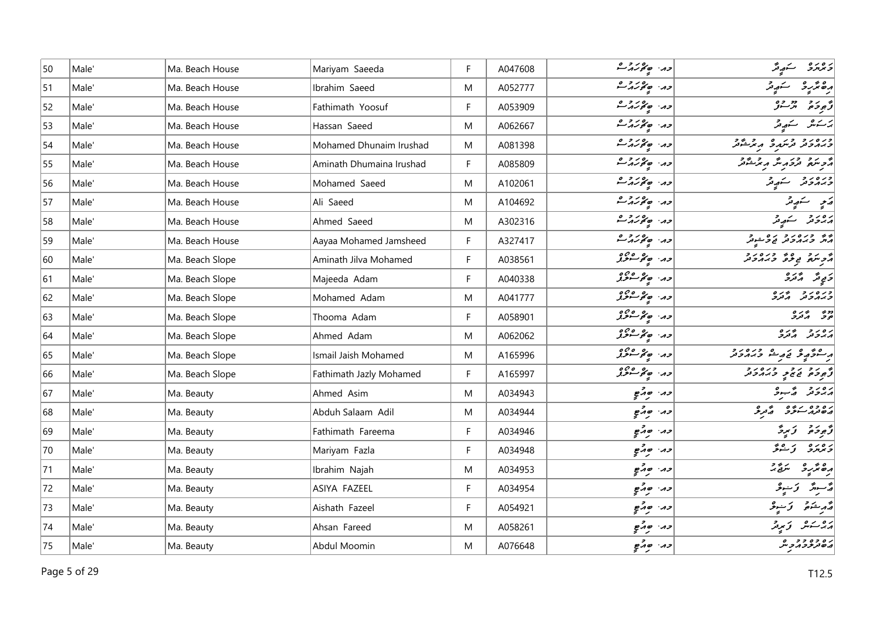| 50 | Male' | Ma. Beach House | Mariyam Saeeda           | F           | A047608 | כו קיציגים                                                                                                                                                                                                                                                                                                                     | ويربرو كتمير                                                                                                                                                                                                                        |
|----|-------|-----------------|--------------------------|-------------|---------|--------------------------------------------------------------------------------------------------------------------------------------------------------------------------------------------------------------------------------------------------------------------------------------------------------------------------------|-------------------------------------------------------------------------------------------------------------------------------------------------------------------------------------------------------------------------------------|
| 51 | Male' | Ma. Beach House | Ibrahim Saeed            | M           | A052777 | 22280.00                                                                                                                                                                                                                                                                                                                       | أرە ئەر ئەر ئىكتى ئىش                                                                                                                                                                                                               |
| 52 | Male' | Ma. Beach House | Fathimath Yoosuf         | F           | A053909 | $2220 - 12$                                                                                                                                                                                                                                                                                                                    | $\frac{1}{2}$<br>$\frac{1}{2}$<br>$\frac{1}{2}$<br>$\frac{1}{2}$<br>$\frac{1}{2}$<br>$\frac{1}{2}$<br>$\frac{1}{2}$<br><br><br><br><br><br><br><br><br><br><br><br><br><br><br><br><br><br><br><br><br><br><br><br><br><br><br><br> |
| 53 | Male' | Ma. Beach House | Hassan Saeed             | M           | A062667 | $\sqrt{27289}$ -12                                                                                                                                                                                                                                                                                                             | بر کے معرفہ                                                                                                                                                                                                                         |
| 54 | Male' | Ma. Beach House | Mohamed Dhunaim Irushad  | M           | A081398 | $2720 - 12$                                                                                                                                                                                                                                                                                                                    | כנסנכ כנהם הפיידה                                                                                                                                                                                                                   |
| 55 | Male' | Ma. Beach House | Aminath Dhumaina Irushad | F.          | A085809 | בו ביצידה                                                                                                                                                                                                                                                                                                                      | הכיתם בכתיה תיביבת                                                                                                                                                                                                                  |
| 56 | Male' | Ma. Beach House | Mohamed Saeed            | M           | A102061 | בו ביציאגי                                                                                                                                                                                                                                                                                                                     | ورەرو سەرو                                                                                                                                                                                                                          |
| 57 | Male' | Ma. Beach House | Ali Saeed                | M           | A104692 | בו ביצידה                                                                                                                                                                                                                                                                                                                      | ە ئەرەتىر<br>مەس                                                                                                                                                                                                                    |
| 58 | Male' | Ma. Beach House | Ahmed Saeed              | M           | A302316 | בו ביציה                                                                                                                                                                                                                                                                                                                       | رەرو سەرو                                                                                                                                                                                                                           |
| 59 | Male' | Ma. Beach House | Aayaa Mohamed Jamsheed   | $\mathsf F$ | A327417 | $22280 - 15$                                                                                                                                                                                                                                                                                                                   | وو دره رو ره درو<br>په دربردن ورشين                                                                                                                                                                                                 |
| 60 | Male' | Ma. Beach Slope | Aminath Jilva Mohamed    | F.          | A038561 | $\begin{bmatrix} 0 & 0 & 0 & 0 \\ 0 & 0 & 0 & 0 \\ 0 & 0 & 0 & 0 \\ 0 & 0 & 0 & 0 \\ 0 & 0 & 0 & 0 \\ 0 & 0 & 0 & 0 \\ 0 & 0 & 0 & 0 \\ 0 & 0 & 0 & 0 \\ 0 & 0 & 0 & 0 \\ 0 & 0 & 0 & 0 \\ 0 & 0 & 0 & 0 \\ 0 & 0 & 0 & 0 & 0 \\ 0 & 0 & 0 & 0 & 0 \\ 0 & 0 & 0 & 0 & 0 \\ 0 & 0 & 0 & 0 & 0 \\ 0 & 0 & 0 & 0 & 0 \\ 0 & 0 & $ | أأديبهم وعواقب وبرودي                                                                                                                                                                                                               |
| 61 | Male' | Ma. Beach Slope | Majeeda Adam             | F           | A040338 | $\sqrt{900}$ $\frac{60}{7}$ $\frac{60}{7}$                                                                                                                                                                                                                                                                                     |                                                                                                                                                                                                                                     |
| 62 | Male' | Ma. Beach Slope | Mohamed Adam             | M           | A041777 | $\sqrt{2000}$                                                                                                                                                                                                                                                                                                                  | כנסנכ שנס                                                                                                                                                                                                                           |
| 63 | Male' | Ma. Beach Slope | Thooma Adam              | F           | A058901 | בו קיביבר                                                                                                                                                                                                                                                                                                                      | دد د دره<br>وو گ <sup>و</sup> رو                                                                                                                                                                                                    |
| 64 | Male' | Ma. Beach Slope | Ahmed Adam               | M           | A062062 |                                                                                                                                                                                                                                                                                                                                | ره رح ده<br>پرکافر پرفرو                                                                                                                                                                                                            |
| 65 | Male' | Ma. Beach Slope | Ismail Jaish Mohamed     | M           | A165996 | ور په ده دوه                                                                                                                                                                                                                                                                                                                   | ת ברוב בת בי בגורה                                                                                                                                                                                                                  |
| 66 | Male' | Ma. Beach Slope | Fathimath Jazly Mohamed  | F           | A165997 | وړ ، صحي مصر و                                                                                                                                                                                                                                                                                                                 | و محمد و محمد المعدد و محمد المحمد المحمد المحمد المحمد المحمد المحمد المحمد المحمد المحمد المحمد ال                                                                                                                                |
| 67 | Male' | Ma. Beauty      | Ahmed Asim               | M           | A034943 | כו <i>ר</i> י סוקים <sub>ו</sub>                                                                                                                                                                                                                                                                                               | رەر ئەبدۇ                                                                                                                                                                                                                           |
| 68 | Male' | Ma. Beauty      | Abduh Salaam Adil        | M           | A034944 | $e^2$                                                                                                                                                                                                                                                                                                                          | رە دە رە ە<br>ھەممەسىۋى ھەرى                                                                                                                                                                                                        |
| 69 | Male' | Ma. Beauty      | Fathimath Fareema        | $\mathsf F$ | A034946 | در. مەرچ                                                                                                                                                                                                                                                                                                                       | ژُودَهُ دَبِرَدُ                                                                                                                                                                                                                    |
| 70 | Male' | Ma. Beauty      | Mariyam Fazla            | F           | A034948 | בו ביל                                                                                                                                                                                                                                                                                                                         | رەرە يەشۇ                                                                                                                                                                                                                           |
| 71 | Male' | Ma. Beauty      | Ibrahim Najah            | M           | A034953 | وړ٠ موړ <u>م</u> و                                                                                                                                                                                                                                                                                                             | رە ئۆر ئىقى                                                                                                                                                                                                                         |
| 72 | Male' | Ma. Beauty      | ASIYA FAZEEL             | F           | A034954 | בו קרש                                                                                                                                                                                                                                                                                                                         | ەسىدە ئەنبەق                                                                                                                                                                                                                        |
| 73 | Male' | Ma. Beauty      | Aishath Fazeel           | F           | A054921 | در. مەدىج                                                                                                                                                                                                                                                                                                                      | ەرەبىئە ئەسو                                                                                                                                                                                                                        |
| 74 | Male' | Ma. Beauty      | Ahsan Fareed             | M           | A058261 | $e^2$                                                                                                                                                                                                                                                                                                                          | أروكت وتبرقر                                                                                                                                                                                                                        |
| 75 | Male' | Ma. Beauty      | Abdul Moomin             | M           | A076648 | ور. ھوڻو                                                                                                                                                                                                                                                                                                                       | ر ه د ه و د<br>مان مرد د بر مر                                                                                                                                                                                                      |
|    |       |                 |                          |             |         |                                                                                                                                                                                                                                                                                                                                |                                                                                                                                                                                                                                     |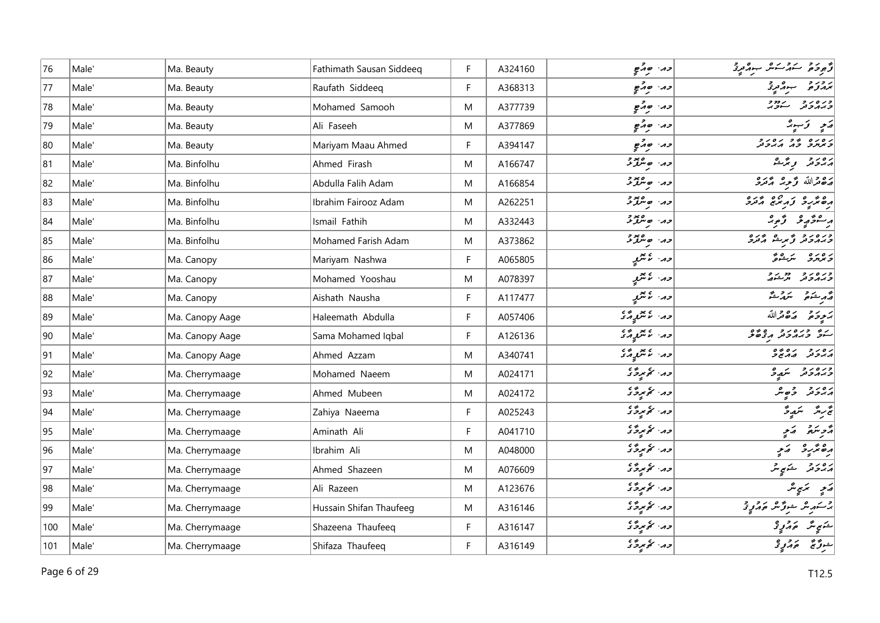| 76  | Male' | Ma. Beauty      | Fathimath Sausan Siddeeq | F         | A324160 | در ورګو                                             | ۇ بەرە سەر سەھ سوھەرى <sub>ق</sub>     |
|-----|-------|-----------------|--------------------------|-----------|---------|-----------------------------------------------------|----------------------------------------|
| 77  | Male' | Ma. Beauty      | Raufath Siddeeq          | F         | A368313 | $e^2$                                               | ر ور و<br>عداد تره در سوار در د        |
| 78  | Male' | Ma. Beauty      | Mohamed Samooh           | M         | A377739 | בו. פורש                                            | כנסני נחבר                             |
| 79  | Male' | Ma. Beauty      | Ali Faseeh               | M         | A377869 | בו. פורש                                            | أرشح وكسبور                            |
| 80  | Male' | Ma. Beauty      | Mariyam Maau Ahmed       | F         | A394147 | בו סו"ש                                             | ג סגם שב גםגב                          |
| 81  | Male' | Ma. Binfolhu    | Ahmed Firash             | M         | A166747 | وړ وسر                                              | رەر دېرى                               |
| 82  | Male' | Ma. Binfolhu    | Abdulla Falih Adam       | ${\sf M}$ | A166854 | در موسود                                            | رَحْمَدَاللَّهُ وَمُحِبِّرَ وَمَعَدَدَ |
| 83  | Male' | Ma. Binfolhu    | Ibrahim Fairooz Adam     | ${\sf M}$ | A262251 | در. جنگرگر                                          | ره پر د در مهم پر د                    |
| 84  | Male' | Ma. Binfolhu    | Ismail Fathih            | ${\sf M}$ | A332443 | وړ. صربۍ د                                          | أرجعتم ومحموم                          |
| 85  | Male' | Ma. Binfolhu    | Mohamed Farish Adam      | M         | A373862 | در ومرد                                             | ورەرد ۋىرىشى ئەرە                      |
| 86  | Male' | Ma. Canopy      | Mariyam Nashwa           | F         | A065805 | حەر، ئۈتتىرىپە                                      | رەرە شەشى                              |
| 87  | Male' | Ma. Canopy      | Mohamed Yooshau          | M         | A078397 | <sub>حە</sub> ر، ئ <sub>ا</sub> ئىترى <sub>پە</sub> | ور ور دو در د<br>تربر در در در در      |
| 88  | Male' | Ma. Canopy      | Aishath Nausha           | F         | A117477 | حەر، ئۈتتىرىپە                                      | أقرم شكوه سكر يحيد                     |
| 89  | Male' | Ma. Canopy Aage | Haleemath Abdulla        | F         | A057406 | در غیر پی                                           | برودة مكافرالله                        |
| 90  | Male' | Ma. Canopy Aage | Sama Mohamed Iqbal       | F         | A126136 | دە. ئانتروپرى                                       |                                        |
| 91  | Male' | Ma. Canopy Aage | Ahmed Azzam              | ${\sf M}$ | A340741 | دە. ئانتروپرى                                       |                                        |
| 92  | Male' | Ma. Cherrymaage | Mohamed Naeem            | ${\sf M}$ | A024171 | دړ٠ کوبروگ                                          | ورەرو شھرو                             |
| 93  | Male' | Ma. Cherrymaage | Ahmed Mubeen             | M         | A024172 | دړ ، کومړو د                                        | أرور و وه                              |
| 94  | Male' | Ma. Cherrymaage | Zahiya Naeema            | F         | A025243 | دړ٠ کومړو د                                         | تج بەر ئىكروچ                          |
| 95  | Male' | Ma. Cherrymaage | Aminath Ali              | F         | A041710 | وړ کې پروی                                          | ړې سره په کړ                           |
| 96  | Male' | Ma. Cherrymaage | Ibrahim Ali              | ${\sf M}$ | A048000 | ور کمی پرد                                          |                                        |
| 97  | Male' | Ma. Cherrymaage | Ahmed Shazeen            | M         | A076609 | در ، کو پردی                                        | رەرو شەپەتك                            |
| 98  | Male' | Ma. Cherrymaage | Ali Razeen               | ${\sf M}$ | A123676 | دړ٠ کومړو د                                         | أەستىر ئىستى ش                         |
| 99  | Male' | Ma. Cherrymaage | Hussain Shifan Thaufeeg  | ${\sf M}$ | A316146 | دړ٠ کومروکو                                         |                                        |
| 100 | Male' | Ma. Cherrymaage | Shazeena Thaufeeq        | F         | A316147 | دړ٠ کوبروگ                                          |                                        |
| 101 | Male' | Ma. Cherrymaage | Shifaza Thaufeeq         | F         | A316149 | در گوروی                                            | شورَّجَ ءَرَرٍ و                       |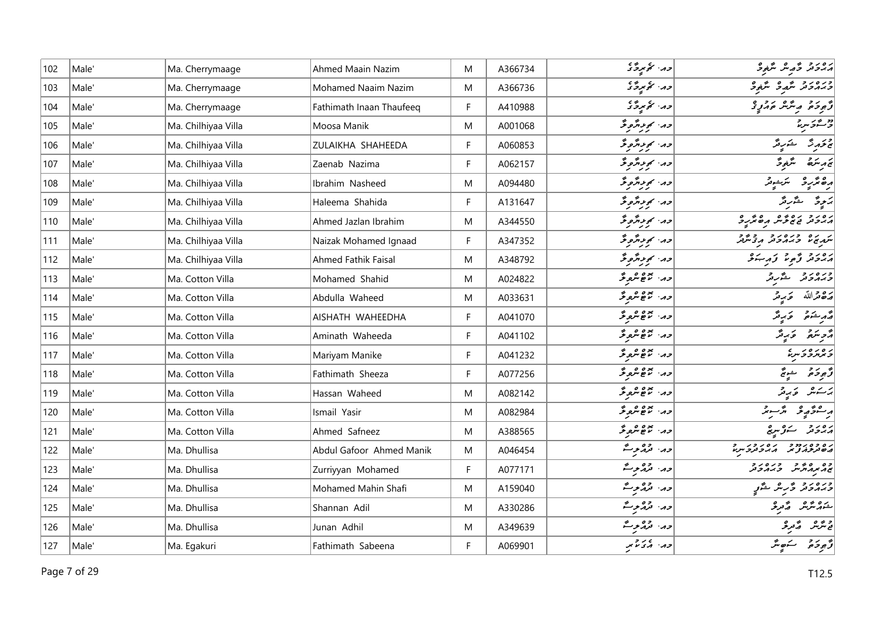| 102 | Male' | Ma. Cherrymaage     | Ahmed Maain Nazim        | M           | A366734 | وړ٠ کومروک                       | ג' ביבית ב' בן יית ייתון בי                                             |
|-----|-------|---------------------|--------------------------|-------------|---------|----------------------------------|-------------------------------------------------------------------------|
| 103 | Male' | Ma. Cherrymaage     | Mohamed Naaim Nazim      | M           | A366736 | دە. ئۇمرۇكى                      | ورەرو شەۋ شەۋ                                                           |
| 104 | Male' | Ma. Cherrymaage     | Fathimath Inaan Thaufeeq | F           | A410988 | دړ٠ کوبروگ                       | ژُودَهُ مِتَرْشَ وَمَرُرٍ وَ                                            |
| 105 | Male' | Ma. Chilhiyaa Villa | Moosa Manik              | M           | A001068 | دە بىم بەرگە بۇ                  | دە مەتەكە بىرىدە<br>سەكەرىر                                             |
| 106 | Male' | Ma. Chilhiyaa Villa | ZULAIKHA SHAHEEDA        | F.          | A060853 | دە · ئەرەژە ۋ                    | شەرىتر<br>ە ئەھەر ج<br>سى                                               |
| 107 | Male' | Ma. Chilhiyaa Villa | Zaenab Nazima            | F           | A062157 | وړ٠ <sub>کم</sub> ورتونو         | ىم ئىر ئىرى ئىس ئىر                                                     |
| 108 | Male' | Ma. Chilhiyaa Villa | Ibrahim Nasheed          | M           | A094480 | دە. ئەرە <i>د</i> ۇر             | ە ھەترىر <sup>ى</sup><br>بر ھەترىرى<br>سكرسفوقر                         |
| 109 | Male' | Ma. Chilhiyaa Villa | Haleema Shahida          | F           | A131647 | وړ· نموندگونځه                   | ر<br>دېږې مقرب                                                          |
| 110 | Male' | Ma. Chilhiyaa Villa | Ahmed Jazlan Ibrahim     | M           | A344550 | وړ٠ نورتروتر                     | גם גב גם גם הם הבים בי                                                  |
| 111 | Male' | Ma. Chilhiyaa Villa | Naizak Mohamed Ignaad    | F           | A347352 | وە · ئەپرىژ <sub>ى</sub> رگە     | شریم ورورو رومو                                                         |
| 112 | Male' | Ma. Chilhiyaa Villa | Ahmed Fathik Faisal      | M           | A348792 | <i>دە بىلمى</i> بەرگە ئە         | ەر ئەر ئۇم ئەسكى                                                        |
| 113 | Male' | Ma. Cotton Villa    | Mohamed Shahid           | M           | A024822 | حەر ئەھمىدىگە                    | ورەر دەر ئەر<br><i>دىدە</i> ر تەرىر                                     |
| 114 | Male' | Ma. Cotton Villa    | Abdulla Waheed           | M           | A033631 | حەر بىي ھەمبىر ئىگە              | پره قرالله کربر قر                                                      |
| 115 | Male' | Ma. Cotton Villa    | AISHATH WAHEEDHA         | F           | A041070 | در به عصورته<br>در استان معرو    | وكركو وكرفر                                                             |
| 116 | Male' | Ma. Cotton Villa    | Aminath Waheeda          | F           | A041102 | حەر، س <sub>ەھ</sub> ھەمبىر ئىگە | أأزوبترة وترتز                                                          |
| 117 | Male' | Ma. Cotton Villa    | Mariyam Manike           | $\mathsf F$ | A041232 | مەربە ئەھمىدىگە                  | <br> 3 بر پر 3 د سریم                                                   |
| 118 | Male' | Ma. Cotton Villa    | Fathimath Sheeza         | F           | A077256 | حەر بىق ھەمبىر ئىگە              | وٌجوحَۃُ شبِیٌ                                                          |
| 119 | Male' | Ma. Cotton Villa    | Hassan Waheed            | M           | A082142 | حەر بىق ھەمبىر ئىگە<br>مەنبە     | پرسترس کار پرتر                                                         |
| 120 | Male' | Ma. Cotton Villa    | Ismail Yasir             | M           | A082984 | دە. ئۇھمۇمۇ                      | ر سادگار در مرکب در                                                     |
| 121 | Male' | Ma. Cotton Villa    | Ahmed Safneez            | M           | A388565 | حەر، س <sub>ەھ</sub> ھەمبىر ئىگە | رەرو بەھرىم                                                             |
| 122 | Male' | Ma. Dhullisa        | Abdul Gafoor Ahmed Manik | M           | A046454 | ور. ترو و گ                      | ג ס כ ס ג חב כ - ג ס ג כ ג ייגוד<br>ג ס تر څرنمر تر پر ד ג ב تر ב ייגוד |
| 123 | Male' | Ma. Dhullisa        | Zurriyyan Mohamed        | F           | A077171 | در. مەدىرىگە                     | כם סמכ כמסמכ<br>מממחתית כמחכת                                           |
| 124 | Male' | Ma. Dhullisa        | Mohamed Mahin Shafi      | M           | A159040 | وە. ئۇرگوپ <sup>س</sup>          | ورەرو ۇرىر ئۇر                                                          |
| 125 | Male' | Ma. Dhullisa        | Shannan Adil             | M           | A330286 | ور. وژورځ                        | ے دیکھر گھری                                                            |
| 126 | Male' | Ma. Dhullisa        | Junan Adhil              | M           | A349639 | وە. تۇرگومىگە                    | و عرش گەرگى                                                             |
| 127 | Male' | Ma. Egakuri         | Fathimath Sabeena        | F           | A069901 | ود ادى ئام                       | ژوده شویژ                                                               |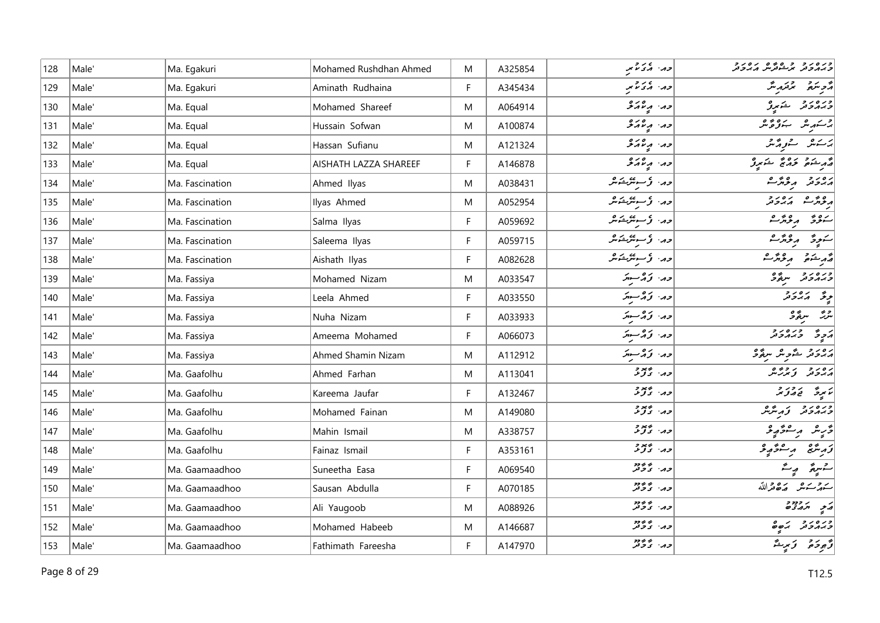| 128 | Male' | Ma. Egakuri     | Mohamed Rushdhan Ahmed | M           | A325854 | در می در                    | وره روح وه ده ره رو<br>وبرووتر برشوترس وبروتر |
|-----|-------|-----------------|------------------------|-------------|---------|-----------------------------|-----------------------------------------------|
| 129 | Male' | Ma. Egakuri     | Aminath Rudhaina       | F           | A345434 | دړ٠ د د نوم                 | הכיתם הבתונה                                  |
| 130 | Male' | Ma. Equal       | Mohamed Shareef        | M           | A064914 | در، ریم ترو                 | ورەرو شەرو                                    |
| 131 | Male' | Ma. Equal       | Hussain Sofwan         | M           | A100874 | دە. بەيئەتمى                | چە ئەر بەر يەر بەر                            |
| 132 | Male' | Ma. Equal       | Hassan Sufianu         | M           | A121324 | در. ریم ترو                 | ىرىكىش ستورشىتر                               |
| 133 | Male' | Ma. Equal       | AISHATH LAZZA SHAREEF  | F           | A146878 | در. ریابهٔ د                | وأرشاه كروم شهرو                              |
| 134 | Male' | Ma. Fascination | Ahmed Ilyas            | M           | A038431 | دەر، ئۇسوتترىشكەنتر         | برەرد مروش                                    |
| 135 | Male' | Ma. Fascination | Ilyas Ahmed            | M           | A052954 | دە.، ئۈسۈشكەشكە             | مروش مددور                                    |
| 136 | Male' | Ma. Fascination | Salma Ilyas            | $\mathsf F$ | A059692 | <i>دە. ۋىسىتكى</i> شكە      | سود روپرے                                     |
| 137 | Male' | Ma. Fascination | Saleema Ilyas          | F.          | A059715 | دە.، ئۈسۈشۈشكەش             | سَوِرَةُ وَعِنْدُ اللَّهِ                     |
| 138 | Male' | Ma. Fascination | Aishath Ilyas          | F           | A082628 | دە ئۈسەتترىشكەنتر           | ە ئەيشى ئەر ئۇرۇب                             |
| 139 | Male' | Ma. Fassiya     | Mohamed Nizam          | M           | A033547 | در که در متر                | ورەرو سۇۋ                                     |
| 140 | Male' | Ma. Fassiya     | Leela Ahmed            | F.          | A033550 | בו צוריית                   | ويحر أيرود                                    |
| 141 | Male' | Ma. Fassiya     | Nuha Nizam             | $\mathsf F$ | A033933 | בו צ'ור אית                 | درس سرچ و                                     |
| 142 | Male' | Ma. Fassiya     | Ameema Mohamed         | $\mathsf F$ | A066073 | در که در ۲۰۰۰               | أروق وره دو                                   |
| 143 | Male' | Ma. Fassiya     | Ahmed Shamin Nizam     | M           | A112912 | دړ. توګر سوټر               | أرور ومشروش سرقو                              |
| 144 | Male' | Ma. Gaafolhu    | Ahmed Farhan           | M           | A113041 | وړ کولو                     | رەرد روپر                                     |
| 145 | Male' | Ma. Gaafolhu    | Kareema Jaufar         | F           | A132467 | وړ گورو                     | يَا يَدِينَ } الحادث يُر                      |
| 146 | Male' | Ma. Gaafolhu    | Mohamed Fainan         | M           | A149080 | وړ کونو                     | ورەر ئىستىر                                   |
| 147 | Male' | Ma. Gaafolhu    | Mahin Ismail           | M           | A338757 | وړ کونو                     | ۇربىر مەشتىم ۋ                                |
| 148 | Male' | Ma. Gaafolhu    | Fainaz Ismail          | $\mathsf F$ | A353161 | وړ٠ گولو                    | زريعي وعقوقه                                  |
| 149 | Male' | Ma. Gaamaadhoo  | Suneetha Easa          | F.          | A069540 | כומי וביביב<br>כומי וביכיבת | شهرهٔ ریسهٔ                                   |
| 150 | Male' | Ma. Gaamaadhoo  | Sausan Abdulla         | F           | A070185 |                             | تكرير مكاني                                   |
| 151 | Male' | Ma. Gaamaadhoo  | Ali Yaugoob            | M           | A088926 | 1244<br>כומי זכבת           | ב תגרובם                                      |
| 152 | Male' | Ma. Gaamaadhoo  | Mohamed Habeeb         | M           | A146687 | و در ود.<br>ود کوتر         | 2012 - 2017<br>2016 - 2019                    |
| 153 | Male' | Ma. Gaamaadhoo  | Fathimath Fareesha     | F           | A147970 | و در پرود.<br>وړ کول        | وُجِرَةً وَمِرْشٌ                             |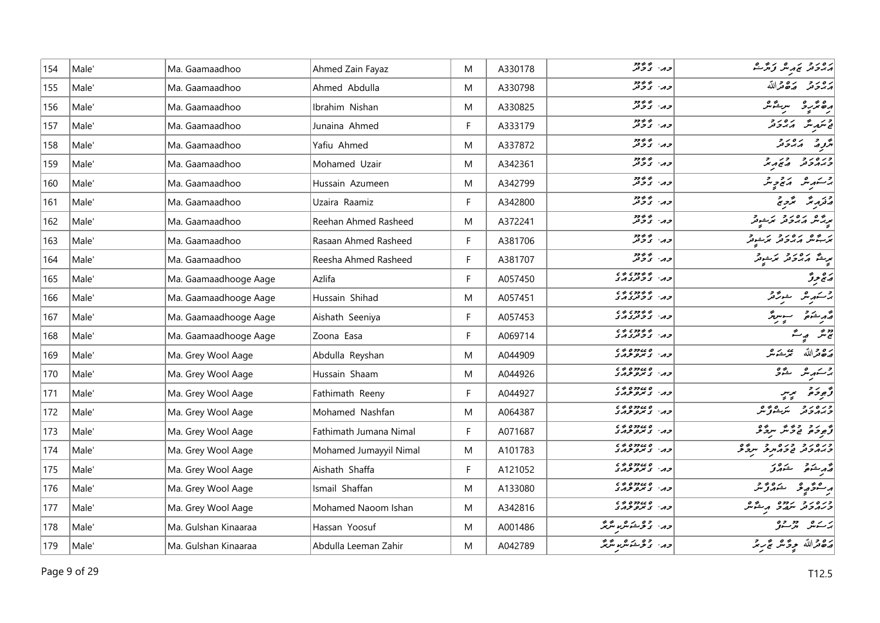| 154 | Male' | Ma. Gaamaadhoo        | Ahmed Zain Fayaz       | M           | A330178 | و در په دود<br>و در کارگ              | ەردە بەر ئەر                                                             |
|-----|-------|-----------------------|------------------------|-------------|---------|---------------------------------------|--------------------------------------------------------------------------|
| 155 | Male' | Ma. Gaamaadhoo        | Ahmed Abdulla          | M           | A330798 | و در پرود.<br>و در کارگ               | برورد بره دالله                                                          |
| 156 | Male' | Ma. Gaamaadhoo        | Ibrahim Nishan         | M           | A330825 | و در دو.<br>و در کومر                 | ەر ھەترىرى<br>ر<br>سرىشەشر                                               |
| 157 | Male' | Ma. Gaamaadhoo        | Junaina Ahmed          | F           | A333179 | و در و دو.<br>و در کارگ               | بر و بر د<br>م <i>ر</i> بر <del>و</del> تر<br>قے سر <sub>م</sub> سر<br>م |
| 158 | Male' | Ma. Gaamaadhoo        | Yafiu Ahmed            | M           | A337872 | و در دود.<br>و در کارگ                | برور مدور                                                                |
| 159 | Male' | Ma. Gaamaadhoo        | Mohamed Uzair          | M           | A342361 | ו ויידי<br>כומי וביכטק                | כנסנכ כל ב                                                               |
| 160 | Male' | Ma. Gaamaadhoo        | Hussain Azumeen        | M           | A342799 | و در پرود.<br>و در کارگ               | يز سكر مركز الكريم كالمحر بالر                                           |
| 161 | Male' | Ma. Gaamaadhoo        | Uzaira Raamiz          | F.          | A342800 | و در به دود<br>و در بان کرد           | ە ئىزمەنتىر ئىزىرى                                                       |
| 162 | Male' | Ma. Gaamaadhoo        | Reehan Ahmed Rasheed   | M           | A372241 | و در دو.<br>و در کومر                 | بر ده ده د و بر دور<br>بررگش مربر و تر بر در                             |
| 163 | Male' | Ma. Gaamaadhoo        | Rasaan Ahmed Rasheed   | F           | A381706 | و در دو.<br>و در کومر                 | ر به ۲۰۰۵ در مرکز برگسور                                                 |
| 164 | Male' | Ma. Gaamaadhoo        | Reesha Ahmed Rasheed   | F.          | A381707 | و در پرود.<br>و در کرونو              | ىرىش كەركەر كەنبەتى<br>ئ                                                 |
| 165 | Male' | Ma. Gaamaadhooge Aage | Azlifa                 | F           | A057450 | و در ۱۶۵۶ و د د<br>د در ۱۶ و ترو در د | ەيجىمۇ                                                                   |
| 166 | Male' | Ma. Gaamaadhooge Aage | Hussain Shihad         | M           | A057451 | ه ۶۵۶۶ و ده<br>۳۸۶ کالري در           | جرسكور هوركتر                                                            |
| 167 | Male' | Ma. Gaamaadhooge Aage | Aishath Seeniya        | $\mathsf F$ | A057453 | و پر دوه و و د<br>و پر ۰ د کاری پر د  |                                                                          |
| 168 | Male' | Ma. Gaamaadhooge Aage | Zoona Easa             | F           | A069714 | ه په دوه په و،<br>د د کو د د د د      | پیم په                                                                   |
| 169 | Male' | Ma. Grey Wool Aage    | Abdulla Reyshan        | M           | A044909 | C # 0 33 44 0<br>S A \$ 9 5 ° A 5     | برە ترالله<br>تترڪيشر                                                    |
| 170 | Male' | Ma. Grey Wool Aage    | Hussain Shaam          | M           | A044926 | C % 0 33 44 0<br>S A 3 X 2 ° A 3      | جر ڪمبر هر جو ڪري                                                        |
| 171 | Male' | Ma. Grey Wool Aage    | Fathimath Reeny        | F           | A044927 | ם מזחכם ש גי<br>כני - ג' זמש יכומ ג   | قرم دو سپېږ                                                              |
| 172 | Male' | Ma. Grey Wool Aage    | Mohamed Nashfan        | M           | A064387 | ם מזחכם ש גי<br>כני - ג' זמש יכומ ג   | ورەرو برھۇش<br><i>جەيدون بىرىشۇ تى</i> ر                                 |
| 173 | Male' | Ma. Grey Wool Aage    | Fathimath Jumana Nimal | F           | A071687 | ם מזחכם ש גי<br>כני - ג' זמש יכומ ג   | ۇ بەدە دەش سەۋى                                                          |
| 174 | Male' | Ma. Grey Wool Aage    | Mohamed Jumayyil Nimal | M           | A101783 | C # 0 33 44 0<br>S A \$ 9 5 ° A 5     | כמחכת בכחתב תפצ                                                          |
| 175 | Male' | Ma. Grey Wool Aage    | Aishath Shaffa         | F           | A121052 | c + 0 ncc 0<br>5 n + 9 x 5 · n 7      | ړٌ د شوه شوه د کړ                                                        |
| 176 | Male' | Ma. Grey Wool Aage    | Ismail Shaffan         | M           | A133080 | ם מזחכם ש גי<br>כני - ג' זמש יכומ ג   | ر قۇرۇ ھەرگىر                                                            |
| 177 | Male' | Ma. Grey Wool Aage    | Mohamed Naoom Ishan    | M           | A342816 | c # 0 33 cc 0<br>5 A 3 4 4 5 · A 3    | وره د و دوه میشود.<br>در مرد سمده میشو                                   |
| 178 | Male' | Ma. Gulshan Kinaaraa  | Hassan Yoosuf          | M           | A001486 | <i>دە</i> بىقى ئىشرىتى ئىگە           | برسەملەر بېزىسور                                                         |
| 179 | Male' | Ma. Gulshan Kinaaraa  | Abdulla Leeman Zahir   | M           | A042789 | وە <sub>ئ</sub> ە ئەھسىمى ئىگە        | رە قەللە جەڭ سى تەرىتە                                                   |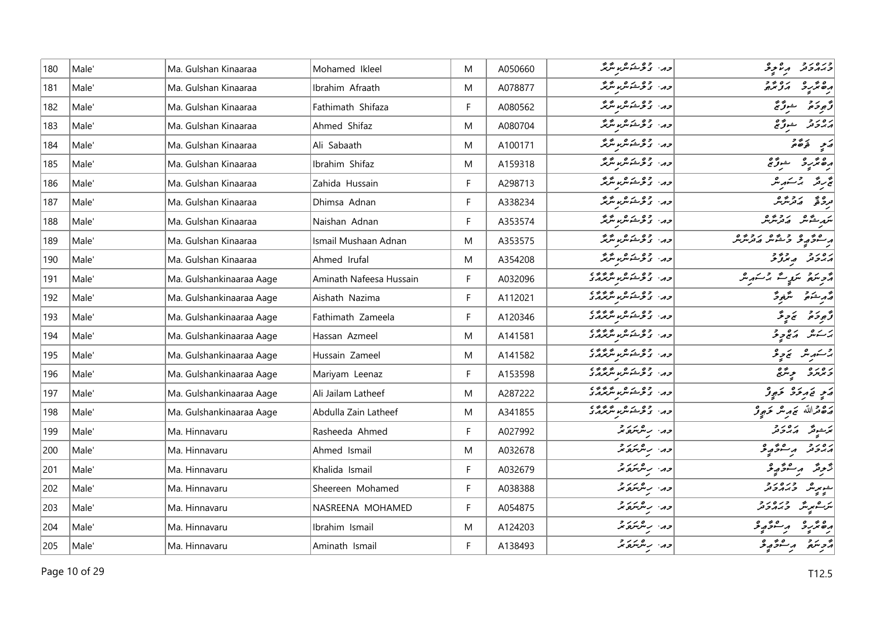| 180 | Male' | Ma. Gulshan Kinaaraa     | Mohamed Ikleel          | M           | A050660 | <i>وە . ئۇ</i> شكەر ئىگە                      | رءيو<br>و ر ه ر د<br>تر بر ټر تر            |
|-----|-------|--------------------------|-------------------------|-------------|---------|-----------------------------------------------|---------------------------------------------|
| 181 | Male' | Ma. Gulshan Kinaaraa     | Ibrahim Afraath         | M           | A078877 | وە. كەنتىش ئىرىدىنى<br>مەنبە كەنتىش           | ر ه بر د<br>پرتو بنرج<br>ەر ھەترىر <i>ۋ</i> |
| 182 | Male' | Ma. Gulshan Kinaaraa     | Fathimath Shifaza       | F           | A080562 | ور. ووشكور مريد                               | و مر د<br>افرانو پر د<br>ىشىرۇتج            |
| 183 | Male' | Ma. Gulshan Kinaaraa     | Ahmed Shifaz            | M           | A080704 |                                               | پروژبر<br>ے پوگر می<br>مر                   |
| 184 | Male' | Ma. Gulshan Kinaaraa     | Ali Sabaath             | M           | A100171 | <i>دە. خ</i> ۇشكەر ئىگە                       |                                             |
| 185 | Male' | Ma. Gulshan Kinaaraa     | Ibrahim Shifaz          | M           | A159318 | وە <sub>ئ</sub> ە كۈشكەر ئىر <i>بى</i> ر      | ەر ھەترىر <i>3</i><br>سنوتر مح              |
| 186 | Male' | Ma. Gulshan Kinaaraa     | Zahida Hussain          | F           | A298713 | رە. ئ <sup>و</sup> شەھەتكەر                   | تج بەقد كەنسىتىر بىر                        |
| 187 | Male' | Ma. Gulshan Kinaaraa     | Dhimsa Adnan            | $\mathsf F$ | A338234 | وە. ئىمىشكەن ئىگە                             | ىر <i>ە ئەس ئەر ئى</i> ر                    |
| 188 | Male' | Ma. Gulshan Kinaaraa     | Naishan Adnan           | F           | A353574 | وە. كەنتىش ئىرىدىنى<br>مەنبە كەنتىش           | سَمِي شَدَّسْ - مَا مِيتَرْسَ               |
| 189 | Male' | Ma. Gulshan Kinaaraa     | Ismail Mushaan Adnan    | M           | A353575 | وە <sub>ئ</sub> ە ئوشكەر ئىگە                 | ر دو د د د د و د د و د و د                  |
| 190 | Male' | Ma. Gulshan Kinaaraa     | Ahmed Irufal            | M           | A354208 | دە. ئۇشكەر ئىگە                               | גפנד היבלב                                  |
| 191 | Male' | Ma. Gulshankinaaraa Aage | Aminath Nafeesa Hussain | F           | A032096 | دە. گەشتۇش شەھەر                              | أأديتم تتربح المسكرين                       |
| 192 | Male' | Ma. Gulshankinaaraa Aage | Aishath Nazima          | F           | A112021 | وړ٠ و و شوس شروره و                           | أقهر شوة متموقه                             |
| 193 | Male' | Ma. Gulshankinaaraa Aage | Fathimath Zameela       | F           | A120346 | وړ٠ و و شکس شمېره و                           | ۇيودۇ ئوپۇ                                  |
| 194 | Male' | Ma. Gulshankinaaraa Aage | Hassan Azmeel           | M           | A141581 | وړ کی نوشتون شریده د د                        | برَسكس مَعْ وِفْرَ                          |
| 195 | Male' | Ma. Gulshankinaaraa Aage | Hussain Zameel          | M           | A141582 | وړ کی څو شومل موجوړی<br>د د کی څو شومل موجوړی | يزخير شي المجاري                            |
| 196 | Male' | Ma. Gulshankinaaraa Aage | Mariyam Leenaz          | F           | A153598 | وړ٠ و و شکس شهره و                            | دىرو پەشق                                   |
| 197 | Male' | Ma. Gulshankinaaraa Aage | Ali Jailam Latheef      | M           | A287222 | وړ٠ وو شور په دوه د                           | ړي ډېر دی ځېږ                               |
| 198 | Male' | Ma. Gulshankinaaraa Aage | Abdulla Zain Latheef    | M           | A341855 | وړ٠ وگوڅکرم شهره و                            | رَة قدالله نم مرشر مَرجو                    |
| 199 | Male' | Ma. Hinnavaru            | Rasheeda Ahmed          | F           | A027992 | وړ٠ رسرسرو بر                                 | ىرىشون <i>گە كەن جە</i> ر ج                 |
| 200 | Male' | Ma. Hinnavaru            | Ahmed Ismail            | M           | A032678 | حەر سەھىرىيەتى<br>ئىسلىم سىر                  | رەرو بەستۇربۇ                               |
| 201 | Male' | Ma. Hinnavaru            | Khalida Ismail          | F.          | A032679 | ور بەش كەر                                    | تزوقر برعاقوقي                              |
| 202 | Male' | Ma. Hinnavaru            | Sheereen Mohamed        | $\mathsf F$ | A038388 | وړ ر بربرونو بر                               |                                             |
| 203 | Male' | Ma. Hinnavaru            | NASREENA MOHAMED        | $\mathsf F$ | A054875 | ور بەش كەر                                    | ىكرىشمېرىكى ئەركەن ئ                        |
| 204 | Male' | Ma. Hinnavaru            | Ibrahim Ismail          | M           | A124203 | ادر.<br>ارد. برنگرمونز                        | ىر ھەتتەر 2<br>س<br>بەستەۋە                 |
| 205 | Male' | Ma. Hinnavaru            | Aminath Ismail          | F           | A138493 | وە . <i>ر</i> ىرىكرى ئى                       | أأرمز ومنتجدة                               |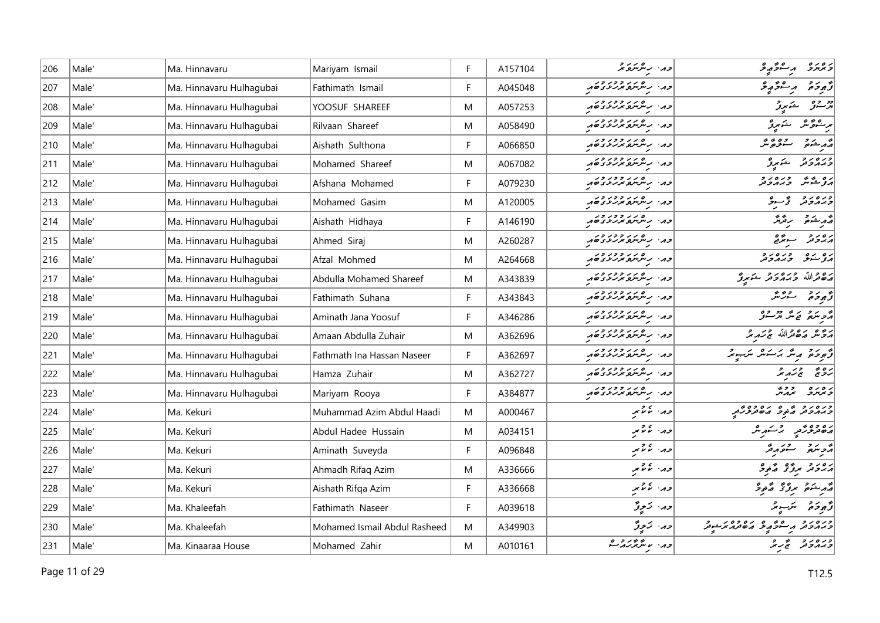| 206 | Male' | Ma. Hinnavaru            | Mariyam Ismail               | F  | A157104 | وړ . رنگونگونگو                                                   | במתכ תייתותים                                     |
|-----|-------|--------------------------|------------------------------|----|---------|-------------------------------------------------------------------|---------------------------------------------------|
| 207 | Male' | Ma. Hinnavaru Hulhagubai | Fathimath Ismail             | F. | A045048 | وړ . رسرسره برر د د د .<br>د د . رسرسره برر د د ه د               | و بر د<br>ترجو څخه                                |
| 208 | Male' | Ma. Hinnavaru Hulhagubai | YOOSUF SHAREEF               | M  | A057253 | وړ . ر سرسره برر د ده د                                           | دد به ه<br>در سور                                 |
| 209 | Male' | Ma. Hinnavaru Hulhagubai | Rilvaan Shareef              | M  | A058490 | ه در ۱۶۶۶ ور<br>د د رسرسره برر دره ه                              | ىرىشۇش شەيرۇ                                      |
| 210 | Male' | Ma. Hinnavaru Hulhagubai | Aishath Sulthona             | F  | A066850 | وړ٠ ر سرسرو پر د د ده د                                           | ر ده پر پر<br>ر<br>دگرار شومی                     |
| 211 | Male' | Ma. Hinnavaru Hulhagubai | Mohamed Shareef              | M  | A067082 | وړ . په پرې د د د ده د                                            | ورەرو شەرو                                        |
| 212 | Male' | Ma. Hinnavaru Hulhagubai | Afshana Mohamed              | F  | A079230 | وړ٠ رسرسرو دورور                                                  | ره شهر دره رد<br>مروشهر دبرمرد                    |
| 213 | Male' | Ma. Hinnavaru Hulhagubai | Mohamed Gasim                | M  | A120005 | وړ . ر سرسره برر د د د .                                          | ورەر د گەسۇ                                       |
| 214 | Male' | Ma. Hinnavaru Hulhagubai | Aishath Hidhaya              | F  | A146190 | وړ٠ رسرسرو بررونه                                                 | وكرم شكوته المحروكر                               |
| 215 | Male' | Ma. Hinnavaru Hulhagubai | Ahmed Siraj                  | M  | A260287 | وړ . په پرېږې پرېږي که                                            | رەرد سەردە                                        |
| 216 | Male' | Ma. Hinnavaru Hulhagubai | Afzal Mohmed                 | M  | A264668 | وړ ر سرسرو بور وړ<br>وړ .   ر سرسرو بور نو ی ته د                 | ره ره دره رد<br>پروسو د بربرد                     |
| 217 | Male' | Ma. Hinnavaru Hulhagubai | Abdulla Mohamed Shareef      | M  | A343839 | حەر سەمبەر 2222 ھەر                                               | رە قراللە ئەرەر ئەيدى                             |
| 218 | Male' | Ma. Hinnavaru Hulhagubai | Fathimath Suhana             | F. | A343843 | وړ٠ ر بربري <sub>پر د ور ور</sub><br>در٠ ر بربري <i>پر ر د</i> ري | ژُهِ دَمُ گُرُسٌ                                  |
| 219 | Male' | Ma. Hinnavaru Hulhagubai | Aminath Jana Yoosuf          | F  | A346286 | وړ . په پرېږې پرېږي که                                            | ל היו גם היו חברים.<br>הפייטם ביות וקי-ית         |
| 220 | Male' | Ma. Hinnavaru Hulhagubai | Amaan Abdulla Zuhair         | M  | A362696 |                                                                   | روه رەورالله تح ترمرتز                            |
| 221 | Male' | Ma. Hinnavaru Hulhagubai | Fathmath Ina Hassan Naseer   | F  | A362697 | وړ . رسرسره برر د د د .<br>د د . رسرسره برر د د ه د               | ۋە ئەق مەنگە ئەسەھ ئىرلىدىگە                      |
| 222 | Male' | Ma. Hinnavaru Hulhagubai | Hamza Zuhair                 | M  | A362727 | وړ٠ ر سرسرو پر د د د د .<br>د ۱۸ - ر سرسرو بربر د د ه ۱۸          | $2.72$ $82$                                       |
| 223 | Male' | Ma. Hinnavaru Hulhagubai | Mariyam Rooya                | F. | A384877 | وړ . رسمبرو بررو دي.<br>در . رسمبرو بررو دی                       | נים נים ביבי<br>בינות ביות                        |
| 224 | Male' | Ma. Kekuri               | Muhammad Azim Abdul Haadi    | M  | A000467 | ود کاکامر                                                         | ورەر د په ه ره دور کړ<br>د بربرد تر ډغر ډه ترڅرگړ |
| 225 | Male' | Ma. Kekuri               | Abdul Hadee Hussain          | M  | A034151 | ود. ناناتهر                                                       | رەدەپر ئەسەر                                      |
| 226 | Male' | Ma. Kekuri               | Aminath Suveyda              | F  | A096848 | دە. ئاتامىيە                                                      | ۇ ئەستى ئىق ئىق                                   |
| 227 | Male' | Ma. Kekuri               | Ahmadh Rifaq Azim            | M  | A336666 | ود کارگامبر                                                       | גפגד תְצְיֹב הֵיתְ                                |
| 228 | Male' | Ma. Kekuri               | Aishath Rifqa Azim           | F  | A336668 | ود کارگانو                                                        | مەر شىم برۇق مەر                                  |
| 229 | Male' | Ma. Khaleefah            | Fathimath Naseer             | F  | A039618 | دە. ئەدۇ                                                          | ۇۋۇۋە سەببەتر                                     |
| 230 | Male' | Ma. Khaleefah            | Mohamed Ismail Abdul Rasheed | M  | A349903 | دە. ئىچۇ                                                          | כנסנד גם כבן כ"ס בנגיל בית                        |
| 231 | Male' | Ma. Kinaaraa House       | Mohamed Zahir                | M  | A010161 | <i>دە ، ئانگەردە</i>                                              | ورەرو ئەرىر                                       |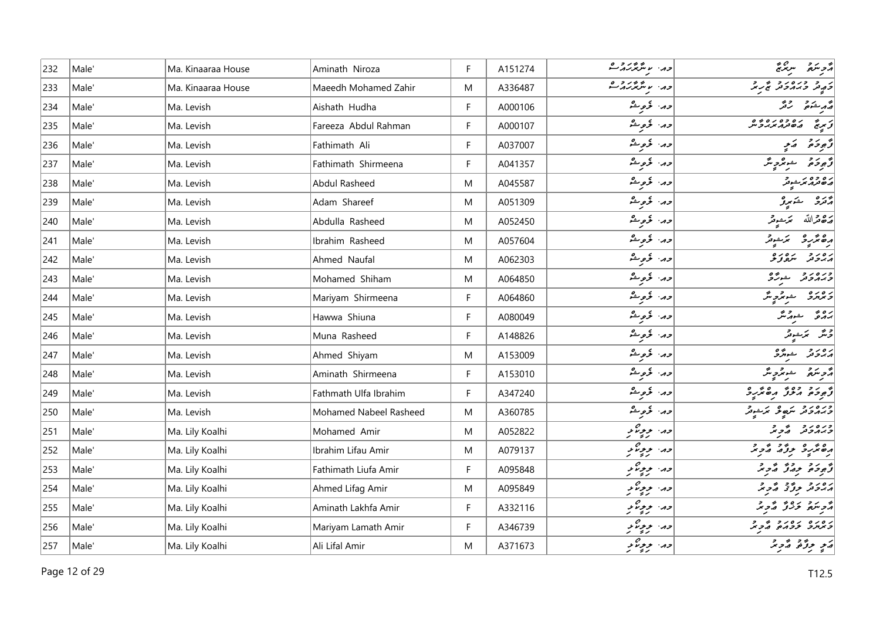| 232 | Male' | Ma. Kinaaraa House | Aminath Niroza         | F         | A151274 | ور. با پرېزىدگ       | أأروسكم سرجريح                               |
|-----|-------|--------------------|------------------------|-----------|---------|----------------------|----------------------------------------------|
| 233 | Male' | Ma. Kinaaraa House | Maeedh Mohamed Zahir   | M         | A336487 | در ، پاسپرسره ۱۳     | ورود وره دو و د                              |
| 234 | Male' | Ma. Levish         | Aishath Hudha          | F         | A000106 | ور. کروے             | $\frac{2}{3}$                                |
| 235 | Male' | Ma. Levish         | Fareeza Abdul Rahman   | F         | A000107 | در کوری <sub>گ</sub> | ره وه ره ده.<br>پره تربر تر تر تر<br>ترىپەتچ |
| 236 | Male' | Ma. Levish         | Fathimath Ali          | F         | A037007 | ور. کروے             | توجوحوا المتعج                               |
| 237 | Male' | Ma. Levish         | Fathimath Shirmeena    | F         | A041357 | ور. ئۇرىش            | توجوحتم سوعرج مكر                            |
| 238 | Male' | Ma. Levish         | Abdul Rasheed          | ${\sf M}$ | A045587 | ور. کروے             | ر ه و ه ر<br>در ه تردر بر شوتر               |
| 239 | Male' | Ma. Levish         | Adam Shareef           | ${\sf M}$ | A051309 | دە. ئۇرىئە           | دره خ <sub>م</sub> رو<br>ارترو خمیرو         |
| 240 | Male' | Ma. Levish         | Abdulla Rasheed        | ${\sf M}$ | A052450 | وړ. کوموننځه         | ەھىراللە<br>ىر شەقر                          |
| 241 | Male' | Ma. Levish         | Ibrahim Rasheed        | M         | A057604 | رو. کومیشو           | رە ئرىرو برىدۇ                               |
| 242 | Male' | Ma. Levish         | Ahmed Naufal           | M         | A062303 | در. کموید            | ر ه ر د<br>م.ر څ تر<br>سرە ئەر               |
| 243 | Male' | Ma. Levish         | Mohamed Shiham         | M         | A064850 | ور. ئۇرىشە           | ورەرو ھورو                                   |
| 244 | Male' | Ma. Levish         | Mariyam Shirmeena      | F         | A064860 | ور. ئۇرىش            | د ورو شرمر شر                                |
| 245 | Male' | Ma. Levish         | Hawwa Shiuna           | F         | A080049 | ور. ئۇرىش            | رە ئەرتە<br>بەرى خەرتى                       |
| 246 | Male' | Ma. Levish         | Muna Rasheed           | F         | A148826 | ور. ئۇرىش            | الحرش الكرنفية فكر                           |
| 247 | Male' | Ma. Levish         | Ahmed Shiyam           | M         | A153009 | دە. ئۇرىشە           | أبره رحم والشوائح                            |
| 248 | Male' | Ma. Levish         | Aminath Shirmeena      | F         | A153010 | ور. کورے             | أأدخر سكرة المستوجد والمراجع                 |
| 249 | Male' | Ma. Levish         | Fathmath Ulfa Ibrahim  | F         | A347240 | ---- كرويده          |                                              |
| 250 | Male' | Ma. Levish         | Mohamed Nabeel Rasheed | M         | A360785 | أور. كموث            | ورەرو ترەپى ترىشوتر                          |
| 251 | Male' | Ma. Lily Koalhi    | Mohamed Amir           | M         | A052822 | در ووړې              | כנסני היה                                    |
| 252 | Male' | Ma. Lily Koalhi    | Ibrahim Lifau Amir     | ${\sf M}$ | A079137 | در برویگر            | גלילים בצב בכי                               |
| 253 | Male' | Ma. Lily Koalhi    | Fathimath Liufa Amir   | F         | A095848 | در. د دره د          | وتجوفهم ومائي مأوبا                          |
| 254 | Male' | Ma. Lily Koalhi    | Ahmed Lifag Amir       | ${\sf M}$ | A095849 | در ووړې              | גפני קְרַצ לקב                               |
| 255 | Male' | Ma. Lily Koalhi    | Aminath Lakhfa Amir    | F         | A332116 | در بردید.            | أزويته وزؤ أزوند                             |
| 256 | Male' | Ma. Lily Koalhi    | Mariyam Lamath Amir    | F         | A346739 | در بردیگر            | ג 2000 במדיר ב                               |
| 257 | Male' | Ma. Lily Koalhi    | Ali Lifal Amir         | ${\sf M}$ | A371673 | در. دورې<br>په       | أأوسم ووافق أأوجر                            |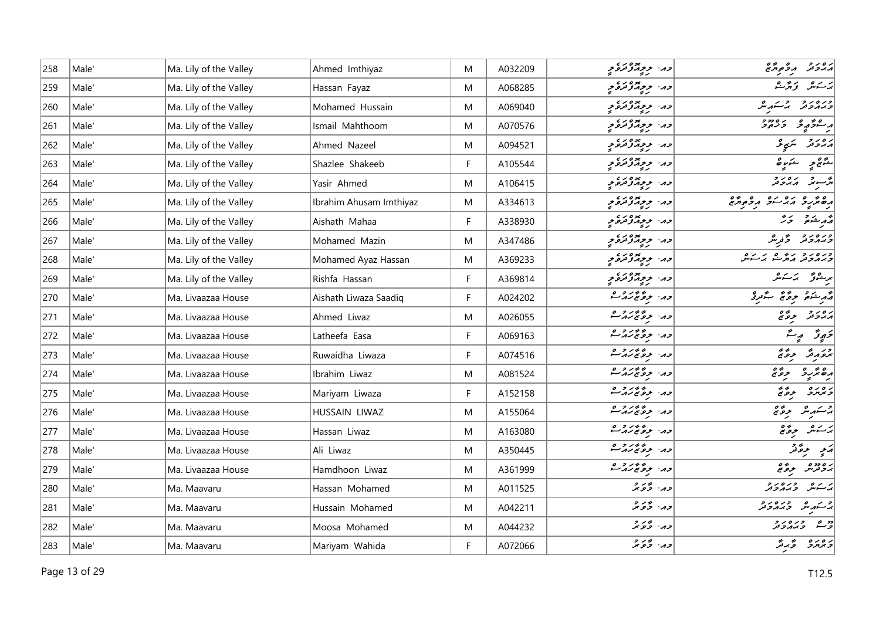| 258 | Male' | Ma. Lily of the Valley | Ahmed Imthiyaz          | M           | A032209 | <i>دە</i> بە مەدەرەپەر<br>  دە بە مەدەرەپەر | أرور وومرج                          |
|-----|-------|------------------------|-------------------------|-------------|---------|---------------------------------------------|-------------------------------------|
| 259 | Male' | Ma. Lily of the Valley | Hassan Fayaz            | M           | A068285 | درې د پروترو په                             | ير سته مشر از تر تر ت               |
| 260 | Male' | Ma. Lily of the Valley | Mohamed Hussain         | M           | A069040 | در و د پروره د                              | ورەرو ورىم                          |
| 261 | Male' | Ma. Lily of the Valley | Ismail Mahthoom         | M           | A070576 | در ۰ د د پروتره د                           | و عرصور ده دور                      |
| 262 | Male' | Ma. Lily of the Valley | Ahmed Nazeel            | M           | A094521 | دړ٠ و و پروترو د                            | أرور و سكي و                        |
| 263 | Male' | Ma. Lily of the Valley | Shazlee Shakeeb         | F           | A105544 | در و پروتروپر                               | شگھو شکرہ                           |
| 264 | Male' | Ma. Lily of the Valley | Yasir Ahmed             | M           | A106415 | در· بربر و وري بر                           | و سومر بره رو                       |
| 265 | Male' | Ma. Lily of the Valley | Ibrahim Ahusam Imthiyaz | M           | A334613 | دړ٠ و و پرو تره و                           | גם ג'ול ג'ול גם גריקית              |
| 266 | Male' | Ma. Lily of the Valley | Aishath Mahaa           | $\mathsf F$ | A338930 | در و دیدوندگام ِ                            | وكرمشتي ورحم                        |
| 267 | Male' | Ma. Lily of the Valley | Mohamed Mazin           | M           | A347486 | در و دیروترو د                              | ورەر ئۇرىگە                         |
| 268 | Male' | Ma. Lily of the Valley | Mohamed Ayaz Hassan     | M           | A369233 | در و دیدونده د                              | ورەر دېرى ئەسەر                     |
| 269 | Male' | Ma. Lily of the Valley | Rishfa Hassan           | F           | A369814 | دړ٠ و و پرو تره و                           | ىرىشۇ كەسكىر                        |
| 270 | Male' | Ma. Livaazaa House     | Aishath Liwaza Saadiq   | F           | A024202 | در ووځ زړ و                                 | و مشرق بروسی سکوری                  |
| 271 | Male' | Ma. Livaazaa House     | Ahmed Liwaz             | M           | A026055 | בו תפשיית                                   | برەر دۇق                            |
| 272 | Male' | Ma. Livaazaa House     | Latheefa Easa           | F           | A069163 | בו. בפש"ד בר                                | تزېږ تر مړینځ                       |
| 273 | Male' | Ma. Livaazaa House     | Ruwaidha Liwaza         | F           | A074516 | בו יינול ביורי                              | بزوكر فروحج                         |
| 274 | Male' | Ma. Livaazaa House     | Ibrahim Liwaz           | M           | A081524 | בו ייפש מגם                                 | ەر ھەتتەر 2<br>ر<br>حرج ج           |
| 275 | Male' | Ma. Livaazaa House     | Mariyam Liwaza          | F.          | A152158 | בו ייפש מגים                                | دەرە دەنج                           |
| 276 | Male' | Ma. Livaazaa House     | HUSSAIN LIWAZ           | M           | A155064 | وړ٠ دویځ رُړ و                              | يزحكم مرتدع وتحاميح                 |
| 277 | Male' | Ma. Livaazaa House     | Hassan Liwaz            | M           | A163080 | در و و در د ه                               | يرسەشر بەرقىقى                      |
| 278 | Male' | Ma. Livaazaa House     | Ali Liwaz               | M           | A350445 | وړ، موځ پروه                                | أتكمج ومحفر                         |
| 279 | Male' | Ma. Livaazaa House     | Hamdhoon Liwaz          | M           | A361999 | בו תפשיית                                   | رەددە بەھ                           |
| 280 | Male' | Ma. Maavaru            | Hassan Mohamed          | M           | A011525 | وړ ژوبر                                     | يركسني وره دو                       |
| 281 | Male' | Ma. Maavaru            | Hussain Mohamed         | M           | A042211 | وړ ژونو                                     | وكسكر سي وبره د و                   |
| 282 | Male' | Ma. Maavaru            | Moosa Mohamed           | M           | A044232 | وړ ژونو                                     | و رە ر د<br>تر پر تر تر<br>تر معتبر |
| 283 | Male' | Ma. Maavaru            | Mariyam Wahida          | F           | A072066 | وړ ژونو                                     | رەرە ئەرئە                          |
|     |       |                        |                         |             |         |                                             |                                     |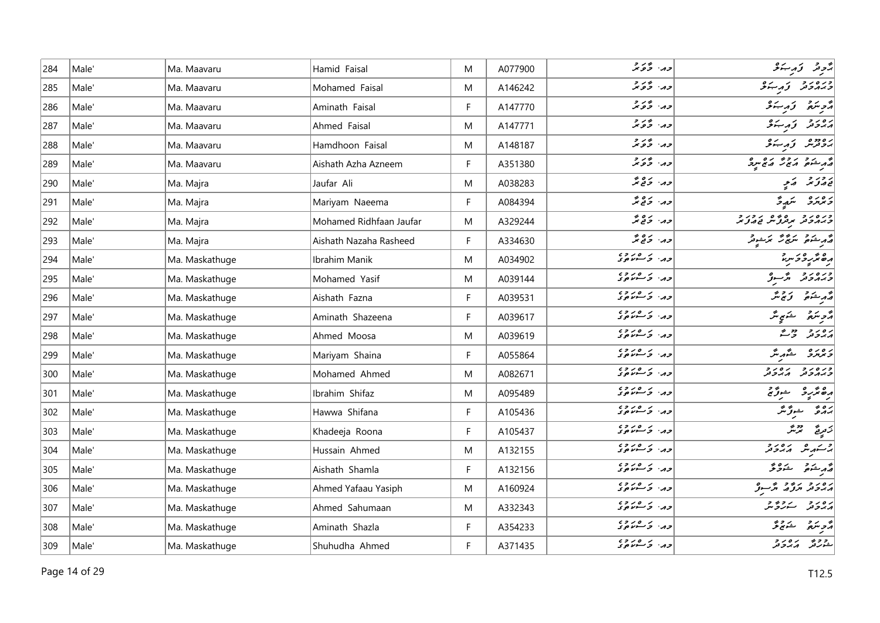| 284 | Male' | Ma. Maavaru    | Hamid Faisal            | M           | A077900 | وړ ژوند                 | پژونژ توربند                                    |
|-----|-------|----------------|-------------------------|-------------|---------|-------------------------|-------------------------------------------------|
| 285 | Male' | Ma. Maavaru    | Mohamed Faisal          | M           | A146242 | وړ ژوبر                 | ورەرو تەرىبى                                    |
| 286 | Male' | Ma. Maavaru    | Aminath Faisal          | $\mathsf F$ | A147770 | وړ ژوبر                 | أأدوسم وأربثكم                                  |
| 287 | Male' | Ma. Maavaru    | Ahmed Faisal            | M           | A147771 | وړ ژونو                 | أرەر ئەب كە                                     |
| 288 | Male' | Ma. Maavaru    | Hamdhoon Faisal         | M           | A148187 | وړ ژوبر                 | رەددە تەرىپى                                    |
| 289 | Male' | Ma. Maavaru    | Aishath Azha Azneem     | $\mathsf F$ | A351380 | وړ ژونو                 | הת בים גזי הם תפ                                |
| 290 | Male' | Ma. Majra      | Jaufar Ali              | M           | A038283 | وړ٠ وَقِي               | لماه وراثر المركب وأكبر                         |
| 291 | Male' | Ma. Majra      | Mariyam Naeema          | $\mathsf F$ | A084394 | ود. وقايم               | و وره شهردٌ                                     |
| 292 | Male' | Ma. Majra      | Mohamed Ridhfaan Jaufar | M           | A329244 | دە. ئۇڭمە               | ورەر د پروژگر ج د در د                          |
| 293 | Male' | Ma. Majra      | Aishath Nazaha Rasheed  | F           | A334630 | وړ کو د کار             | أوار مشاهي التركاش التر متوسطر                  |
| 294 | Male' | Ma. Maskathuge | Ibrahim Manik           | M           | A034902 | $\frac{c}{c}$           | ە ھەمەر 25 سرىر<br>م                            |
| 295 | Male' | Ma. Maskathuge | Mohamed Yasif           | M           | A039144 | $\frac{c}{c}$           | כנים ניבי ותבי-ק                                |
| 296 | Male' | Ma. Maskathuge | Aishath Fazna           | F           | A039531 | כו. <sup>ב</sup> לעיד ב | و ديگر دي.<br>م                                 |
| 297 | Male' | Ma. Maskathuge | Aminath Shazeena        | $\mathsf F$ | A039617 | כו המיני בי             | أترجر سنتوسته وأنتقى                            |
| 298 | Male' | Ma. Maskathuge | Ahmed Moosa             | M           | A039619 | בו ב-מים                | ړه ده ده په                                     |
| 299 | Male' | Ma. Maskathuge | Mariyam Shaina          | F           | A055864 | وړ کر ۱۶۷۵              | رەرە شەرش                                       |
| 300 | Male' | Ma. Maskathuge | Mohamed Ahmed           | M           | A082671 | כו. <sup>ב</sup> לעיד ב | כנסנכ נסנכ<br>כגמכ <mark>ט מ</mark> גכ <b>ט</b> |
| 301 | Male' | Ma. Maskathuge | Ibrahim Shifaz          | M           | A095489 | وړ کر ور ور             | ىر <i>ە ئۈر ئى</i> رۇم                          |
| 302 | Male' | Ma. Maskathuge | Hawwa Shifana           | F           | A105436 | כו. ב-שיפש              | رەپ خىرگىگە                                     |
| 303 | Male' | Ma. Maskathuge | Khadeeja Roona          | F           | A105437 | وړ کر ۱۶۷۵              | زَمِرِيحَ تَمْرُسَّرَ                           |
| 304 | Male' | Ma. Maskathuge | Hussain Ahmed           | M           | A132155 | دړ٠ د کامود             | جر سکه شد از مارد و در د                        |
| 305 | Male' | Ma. Maskathuge | Aishath Shamla          | F           | A132156 | בו ב-מים                | مەر شىرە ئىشى ئىشرىتى                           |
| 306 | Male' | Ma. Maskathuge | Ahmed Yafaau Yasiph     | M           | A160924 | وړ کر ده ده             | גפגב גובב וביינרי<br>הגבה ותצה ותיינר           |
| 307 | Male' | Ma. Maskathuge | Ahmed Sahumaan          | M           | A332343 | כו - באיני בי           | رەرد بەدەر<br>مەردىر سەرۋىر                     |
| 308 | Male' | Ma. Maskathuge | Aminath Shazla          | F           | A354233 | وړ کر ور ور             | أأوبترة الشياقر                                 |
| 309 | Male' | Ma. Maskathuge | Shuhudha Ahmed          | F           | A371435 | وړې د کامونو دی         | رووي برەر و<br>شەرقر <b>ب</b> رگەنز             |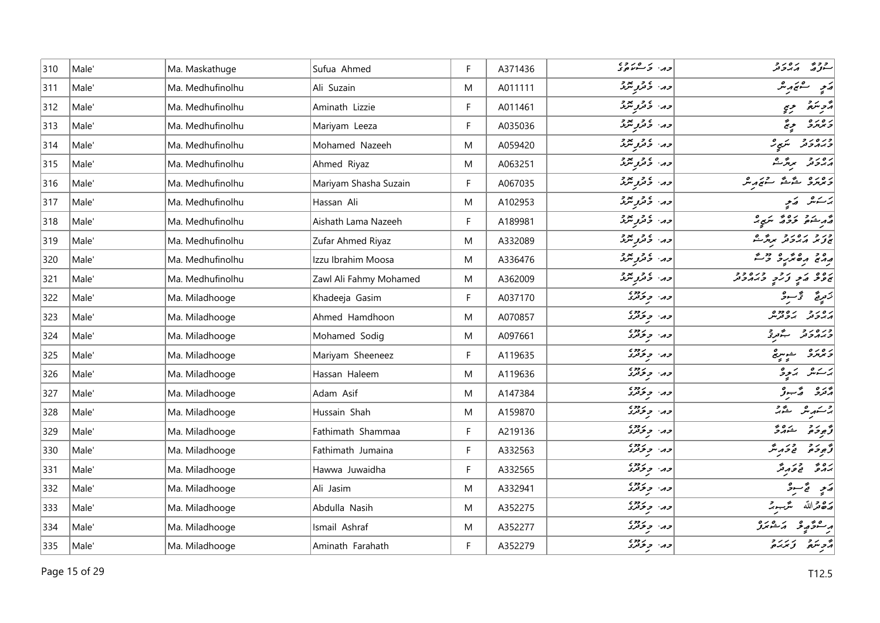| 310 | Male' | Ma. Maskathuge   | Sufua Ahmed            | F         | A371436 | $\frac{c}{c}$ , $\frac{c}{c}$ , $\frac{c}{c}$ , $\frac{c}{c}$ , $\frac{c}{c}$ , $\frac{c}{c}$ , $\frac{c}{c}$ , $\frac{c}{c}$ , $\frac{c}{c}$ , $\frac{c}{c}$ , $\frac{c}{c}$ , $\frac{c}{c}$ , $\frac{c}{c}$ , $\frac{c}{c}$ , $\frac{c}{c}$ , $\frac{c}{c}$ , $\frac{c}{c}$ , $\frac{c}{c}$ , $\frac{c}{c}$ , $\frac{c}{c}$ , | جەنزەيە<br>ەرەر                                           |
|-----|-------|------------------|------------------------|-----------|---------|---------------------------------------------------------------------------------------------------------------------------------------------------------------------------------------------------------------------------------------------------------------------------------------------------------------------------------|-----------------------------------------------------------|
| 311 | Male' | Ma. Medhufinolhu | Ali Suzain             | M         | A011111 | دړ٠ وترو پرو                                                                                                                                                                                                                                                                                                                    | ە ئەسىم يەر                                               |
| 312 | Male' | Ma. Medhufinolhu | Aminath Lizzie         | F         | A011461 | دړ٠ ځنگر شرعه                                                                                                                                                                                                                                                                                                                   | أأدحر سكرة<br>حرمي                                        |
| 313 | Male' | Ma. Medhufinolhu | Mariyam Leeza          | F         | A035036 | در وترویزه                                                                                                                                                                                                                                                                                                                      | ويوبره<br>حريج                                            |
| 314 | Male' | Ma. Medhufinolhu | Mohamed Nazeeh         | M         | A059420 | دړ. ځ تروپنرنگه                                                                                                                                                                                                                                                                                                                 | سَبِيرُ<br>و ره ر د<br><i>و پر</i> پر تر                  |
| 315 | Male' | Ma. Medhufinolhu | Ahmed Riyaz            | M         | A063251 | در علم ترويد                                                                                                                                                                                                                                                                                                                    | גם ג' באת בי                                              |
| 316 | Male' | Ma. Medhufinolhu | Mariyam Shasha Suzain  | F         | A067035 | دړ٠ ځنگر شرعه                                                                                                                                                                                                                                                                                                                   | رەرە شەش ئىتمار                                           |
| 317 | Male' | Ma. Medhufinolhu | Hassan Ali             | ${\sf M}$ | A102953 | در علم ترويد                                                                                                                                                                                                                                                                                                                    | پرسترش کامی                                               |
| 318 | Male' | Ma. Medhufinolhu | Aishath Lama Nazeeh    | F         | A189981 | در. د ترویبرد                                                                                                                                                                                                                                                                                                                   |                                                           |
| 319 | Male' | Ma. Medhufinolhu | Zufar Ahmed Riyaz      | M         | A332089 | دړ. د تروپنر                                                                                                                                                                                                                                                                                                                    | ور د رورد برگ <i>ر</i> گ                                  |
| 320 | Male' | Ma. Medhufinolhu | Izzu Ibrahim Moosa     | M         | A336476 | در ۱۰ د ترویبرو                                                                                                                                                                                                                                                                                                                 | 272220720                                                 |
| 321 | Male' | Ma. Medhufinolhu | Zawl Ali Fahmy Mohamed | M         | A362009 | در کا در محمد                                                                                                                                                                                                                                                                                                                   | גם כל קבור בגם כביר                                       |
| 322 | Male' | Ma. Miladhooge   | Khadeeja Gasim         | F         | A037170 | وړ وتونور                                                                                                                                                                                                                                                                                                                       | أَرْسِعُ تَحْسِرُ وَ                                      |
| 323 | Male' | Ma. Miladhooge   | Ahmed Hamdhoon         | ${\sf M}$ | A070857 | כו. <sub>ק</sub> יבנג                                                                                                                                                                                                                                                                                                           |                                                           |
| 324 | Male' | Ma. Miladhooge   | Mohamed Sodig          | M         | A097661 | وړ ویژنو                                                                                                                                                                                                                                                                                                                        | ورەر د بەگەر<br><i>دى</i> رمەس بەھرىي                     |
| 325 | Male' | Ma. Miladhooge   | Mariyam Sheeneez       | F         | A119635 | وړ٠ و توتوری                                                                                                                                                                                                                                                                                                                    | رەرە <sub>شوس</sub> ى<br><i>دى</i> رىرۇ ش <sub>وس</sub> ى |
| 326 | Male' | Ma. Miladhooge   | Hassan Haleem          | M         | A119636 | وړ٠ و توتوری                                                                                                                                                                                                                                                                                                                    | زىكى ئەرە                                                 |
| 327 | Male' | Ma. Miladhooge   | Adam Asif              | M         | A147384 | وړ٠ و وترو،                                                                                                                                                                                                                                                                                                                     | أوره ويجبوني                                              |
| 328 | Male' | Ma. Miladhooge   | Hussain Shah           | M         | A159870 | כוזי - כיביבה<br>  –                                                                                                                                                                                                                                                                                                            | جر شهر مشرج مشرج                                          |
| 329 | Male' | Ma. Miladhooge   | Fathimath Shammaa      | F         | A219136 | وړ٠ و توکوری                                                                                                                                                                                                                                                                                                                    | وٌ و ده ده و                                              |
| 330 | Male' | Ma. Miladhooge   | Fathimath Jumaina      | F         | A332563 | اوړ و ووه<br>است                                                                                                                                                                                                                                                                                                                | وتموختم فيخبر                                             |
| 331 | Male' | Ma. Miladhooge   | Hawwa Juwaidha         | F         | A332565 | وړ٠ و دوه ه<br>  سه د وفرو                                                                                                                                                                                                                                                                                                      | رەپ در پژ                                                 |
| 332 | Male' | Ma. Miladhooge   | Ali Jasim              | ${\sf M}$ | A332941 | وړ٠ و دوه ته<br>  در٠ و دور                                                                                                                                                                                                                                                                                                     | أرشح ويح سوحه                                             |
| 333 | Male' | Ma. Miladhooge   | Abdulla Nasih          | M         | A352275 | وړ٠ و تونور                                                                                                                                                                                                                                                                                                                     | مَدْهُ مَّرْاللَّهُ مَّرْجِعَةٌ                           |
| 334 | Male' | Ma. Miladhooge   | Ismail Ashraf          | M         | A352277 | وړ٠ و دوه ه<br>  سه د وفترو                                                                                                                                                                                                                                                                                                     | ر شۇر ئەر ئەشلىر                                          |
| 335 | Male' | Ma. Miladhooge   | Aminath Farahath       | F         | A352279 | اوړ و ووه د                                                                                                                                                                                                                                                                                                                     | أأرمز وسردة                                               |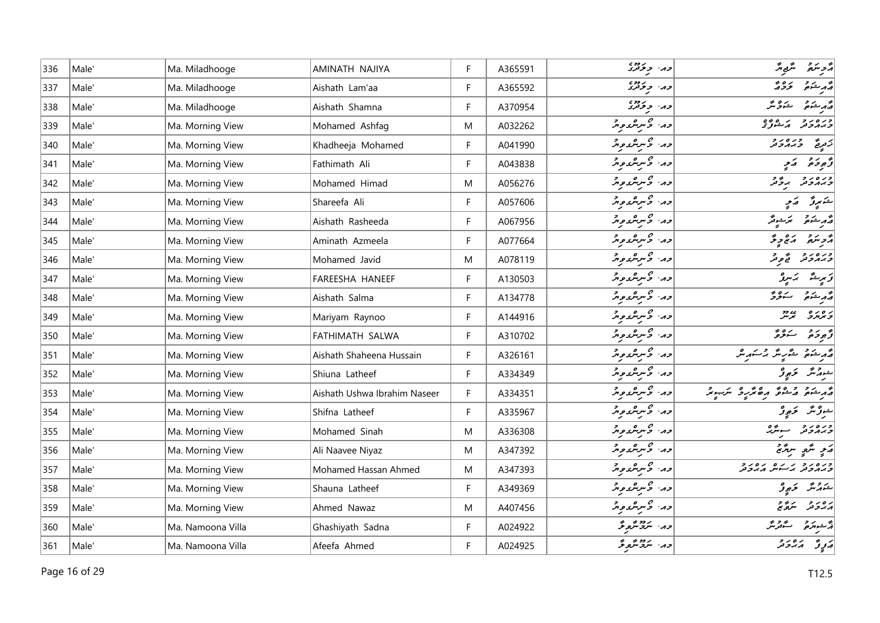| 336 | Male' | Ma. Miladhooge    | AMINATH NAJIYA               | $\mathsf F$ | A365591 | כומי כיצעב<br>כומי כיצעב                               | سٌرة «گُر<br>لأحرسكم                           |
|-----|-------|-------------------|------------------------------|-------------|---------|--------------------------------------------------------|------------------------------------------------|
| 337 | Male' | Ma. Miladhooge    | Aishath Lam'aa               | F           | A365592 | و د.<br>و در و نوترو                                   | و گرم شو د<br>مرکز شو ه                        |
| 338 | Male' | Ma. Miladhooge    | Aishath Shamna               | $\mathsf F$ | A370954 | כו <i>יי</i> <sub>ק</sub> יצע.צ                        | دُ مِنْدَمْ شَوَسَّر                           |
| 339 | Male' | Ma. Morning View  | Mohamed Ashfag               | M           | A032262 | <i>دە</i> . ئ <sup>ى</sup> رىشدەم                      | وره رو پره وه<br>چربرچنز پرشورتی               |
| 340 | Male' | Ma. Morning View  | Khadheeja Mohamed            | $\mathsf F$ | A041990 | وړ· گېرىگر <sub>ى تو</sub> رگ                          | و ره ر د<br><i>د ب</i> رگرفر<br>تزمرچَّ        |
| 341 | Male' | Ma. Morning View  | Fathimath Ali                | $\mathsf F$ | A043838 | وړ٠ <sup>5</sup> سرسر <sub>ى تو ت</sub> ر              | وٌودَهُ کَمَ                                   |
| 342 | Male' | Ma. Morning View  | Mohamed Himad                | M           | A056276 | وړ٠ وګېږ شوه پر                                        | דנסנד המב                                      |
| 343 | Male' | Ma. Morning View  | Shareefa Ali                 | $\mathsf F$ | A057606 | בו. <sup>5</sup> יי <sub>נ</sub> ייע <sub>ל קי</sub> ת | لتكبرتى أكامج                                  |
| 344 | Male' | Ma. Morning View  | Aishath Rasheeda             | F           | A067956 | <i>دە</i> . ك <sup>ى</sup> رىشدە ب <sup>و</sup>        | ر<br>مگر شکور محرشونگر                         |
| 345 | Male' | Ma. Morning View  | Aminath Azmeela              | F           | A077664 | وړ. د سرچورو                                           | أزويتم أرجم ويحر                               |
| 346 | Male' | Ma. Morning View  | Mohamed Javid                | M           | A078119 | ر<br>در وسر شر شده و مر                                | ورەرو پەر                                      |
| 347 | Male' | Ma. Morning View  | FAREESHA HANEEF              | F           | A130503 | בו. צייקייצי קיק                                       | أَوْسِتْ - سَبِينٌ                             |
| 348 | Male' | Ma. Morning View  | Aishath Salma                | F           | A134778 | وړ٠ <sup>5</sup> سرسر و مر                             | ورمشكم المستوفر                                |
| 349 | Male' | Ma. Morning View  | Mariyam Raynoo               | $\mathsf F$ | A144916 | وړ٠ گرسرچور                                            | ر ه ر ه<br><del>ر</del> بربرگر<br>یر وو<br>موس |
| 350 | Male' | Ma. Morning View  | FATHIMATH SALWA              | F           | A310702 | ر<br>دړ. د سرسر <sub>ۍ تو</sub> ر                      | وُجِرَة سَعْرَةَ                               |
| 351 | Male' | Ma. Morning View  | Aishath Shaheena Hussain     | F           | A326161 | حەر. ئۇس <sub>تىرىم</sub> رى                           | ە ئەھقىم ئىقرىتى برگىئەر ش                     |
| 352 | Male' | Ma. Morning View  | Shiuna Latheef               | F           | A334349 | قەرەب ئۇسرىكرى بورگە                                   | شەر ئىگە ئىچ                                   |
| 353 | Male' | Ma. Morning View  | Aishath Ushwa Ibrahim Naseer | F           | A334351 | ے۔<br>  <i>دە</i> نۇسىرىمىدە بىر                       | د.<br>در شوی در شوی در دیگردی سرجوند           |
| 354 | Male' | Ma. Morning View  | Shifna Latheef               | F           | A335967 | دړ٠ د سرسر د و ټر                                      | خور گر گروگر                                   |
| 355 | Male' | Ma. Morning View  | Mohamed Sinah                | M           | A336308 | وړ. <sub>و</sub> ګېږمبر <sub>و وم</sub> ر              | ورەرو سەرە                                     |
| 356 | Male' | Ma. Morning View  | Ali Naavee Niyaz             | M           | A347392 | وړ٠ گ <sup>ې</sup> ربندو وگ                            | ړَ په شمېر سرونځ                               |
| 357 | Male' | Ma. Morning View  | Mohamed Hassan Ahmed         | M           | A347393 | وړ٠ وګېږ شوه پر                                        | ورەر دېرى رەرد                                 |
| 358 | Male' | Ma. Morning View  | Shauna Latheef               | F           | A349369 | حەر ئى سر سى دەرم                                      | شەر ئىم ئىمور                                  |
| 359 | Male' | Ma. Morning View  | Ahmed Nawaz                  | M           | A407456 | בו. <sup>5</sup> יי <sub>נ</sub> ייע <sub>ל קי</sub> ת | رەر دىر                                        |
| 360 | Male' | Ma. Namoona Villa | Ghashiyath Sadna             | F           | A024922 | دە. ئېزىتموگە                                          | پژڪر <i>و</i><br>ذرعو پر د<br>سەدرىتر          |
| 361 | Male' | Ma. Namoona Villa | Afeefa Ahmed                 | F           | A024925 | ر دود به برده در کار<br>در ۱۰ سرچ سرو څ                | ړَ پِرُ د د د د                                |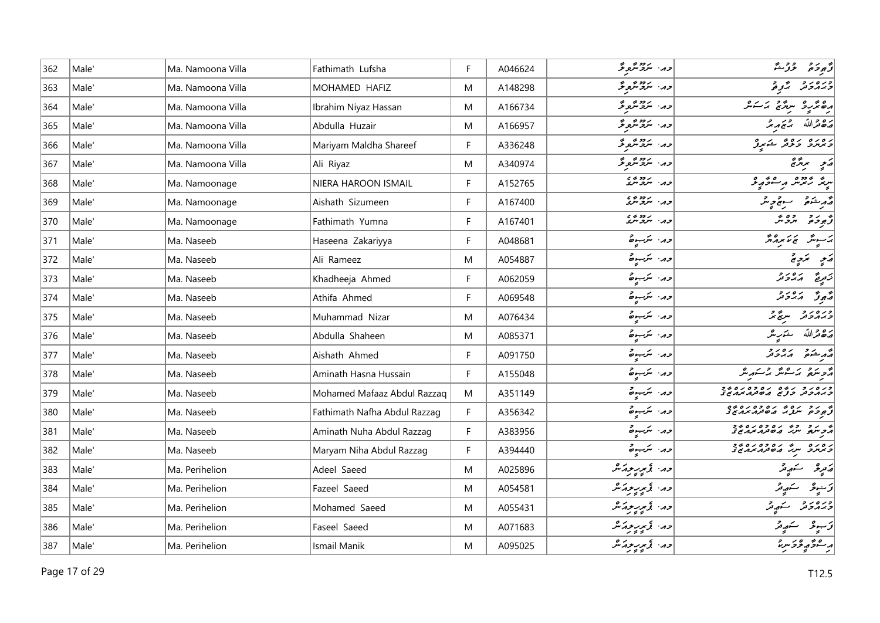| 362 | Male' | Ma. Namoona Villa | Fathimath Lufsha             | F  | A046624 | رە بىردىشى ئى                                 | أَدْجِعَةُ وَدْشَ                                                                                    |
|-----|-------|-------------------|------------------------------|----|---------|-----------------------------------------------|------------------------------------------------------------------------------------------------------|
| 363 | Male' | Ma. Namoona Villa | MOHAMED HAFIZ                | M  | A148298 |                                               | ورەر و و                                                                                             |
| 364 | Male' | Ma. Namoona Villa | Ibrahim Niyaz Hassan         | M  | A166734 |                                               | رە ئرىر ئىر ئەس ئەسكىر                                                                               |
| 365 | Male' | Ma. Namoona Villa | Abdulla Huzair               | M  | A166957 | ر دور به سرچ پیچه نخ                          | برە قراللە جىم يە                                                                                    |
| 366 | Male' | Ma. Namoona Villa | Mariyam Maldha Shareef       | F  | A336248 |                                               | دەرە رەپر شەرو                                                                                       |
| 367 | Male' | Ma. Namoona Villa | Ali Riyaz                    | M  | A340974 | وە بىر دەم ئى                                 | أورم بروج                                                                                            |
| 368 | Male' | Ma. Namoonage     | NIERA HAROON ISMAIL          | F  | A152765 | גוד הדבית ה<br><i>ב</i> וגי יי <i>נד</i> יינג | ببربر رسمه ومسترخم و                                                                                 |
| 369 | Male' | Ma. Namoonage     | Aishath Sizumeen             | F  | A167400 | קחי ומפי<br>כוזי יינביינג                     | و م شو د سوم د شر<br>م                                                                               |
| 370 | Male' | Ma. Namoonage     | Fathimath Yumna              | F  | A167401 | החי מדבר מה<br>כני ייתוב ייתב                 | ق بالمحمد المحمد المحمد المحمد المحمد المحمد المحمد المحمد المحمد المحمد المحمد المحمد المحمد المحمد |
| 371 | Male' | Ma. Naseeb        | Haseena Zakariyya            | F  | A048681 | وړ سربده                                      | جاسپیٹر    ٹائبروگر                                                                                  |
| 372 | Male' | Ma. Naseeb        | Ali Rameez                   | M  | A054887 | وړ٠ سربده<br>پ                                | ړې برې                                                                                               |
| 373 | Male' | Ma. Naseeb        | Khadheeja Ahmed              | F  | A062059 | وړ٠ سرب وه                                    | كزمرقح كمكرومر                                                                                       |
| 374 | Male' | Ma. Naseeb        | Athifa Ahmed                 | F  | A069548 | وړ٠ سرَبوهُ                                   | م و ره د و                                                                                           |
| 375 | Male' | Ma. Naseeb        | Muhammad Nizar               | M  | A076434 | وړ٠ سرَب ه                                    | כנים ניבי תואב                                                                                       |
| 376 | Male' | Ma. Naseeb        | Abdulla Shaheen              | M  | A085371 | وړ٠ سرَبوه                                    | حقص الله خربثر                                                                                       |
| 377 | Male' | Ma. Naseeb        | Aishath Ahmed                | F  | A091750 | وړ٠ سرَب و                                    |                                                                                                      |
| 378 | Male' | Ma. Naseeb        | Aminath Hasna Hussain        | F  | A155048 | وړ٠ سرّبوه                                    | أأدينهم برحش برحتهر                                                                                  |
| 379 | Male' | Ma. Naseeb        | Mohamed Mafaaz Abdul Razzaq  | M  | A351149 | دە. سگە يەھ                                   | כנסנכ נמס נסכסנסמב<br>במ <mark>מכט כ</mark> צא <mark>מ</mark> סט <i>מאמ</i> אב                       |
| 380 | Male' | Ma. Naseeb        | Fathimath Nafha Abdul Razzag | F. | A356342 | دە. سكەبدە                                    | ه د د ده و دره د ده ده و                                                                             |
| 381 | Male' | Ma. Naseeb        | Aminath Nuha Abdul Razzag    | F  | A383956 | دړ سرب ه                                      | ם גב בם גםהם גם בב.<br>הביתם, יינג השנה בהב                                                          |
| 382 | Male' | Ma. Naseeb        | Maryam Niha Abdul Razzag     | F  | A394440 | وړ٠ سرَب ه                                    | ג בי הם הם גם כבי הם בי<br>בי <i>ג</i> ו <i>ג בי הם בנו יג</i> וג בי                                 |
| 383 | Male' | Ma. Perihelion    | Adeel Saeed                  | M  | A025896 | حەر، ئ <sub>ۇ بېرىيە جەم<sup>ى</sup>ر</sub>   | پر سوچر کے کیم تھا                                                                                   |
| 384 | Male' | Ma. Perihelion    | Fazeel Saeed                 | M  | A054581 | در ۱۰ بومور در شر<br>                         | ترسید محصومتر                                                                                        |
| 385 | Male' | Ma. Perihelion    | Mohamed Saeed                | M  | A055431 | حەر، ئۇمەر <i>جەم</i> كىر                     | ورەرو سەر                                                                                            |
| 386 | Male' | Ma. Perihelion    | Faseel Saeed                 | M  | A071683 | دە · ئېرىپ دەكەش                              | تۆسپە پىچە<br>ستهيطر                                                                                 |
| 387 | Male' | Ma. Perihelion    | Ismail Manik                 | M  | A095025 | حەر، ئۇ بېرىبومەتلى<br>مەنبەر ئەس             | ە س <sup>ە</sup> ئەر ئەر ئەرىر                                                                       |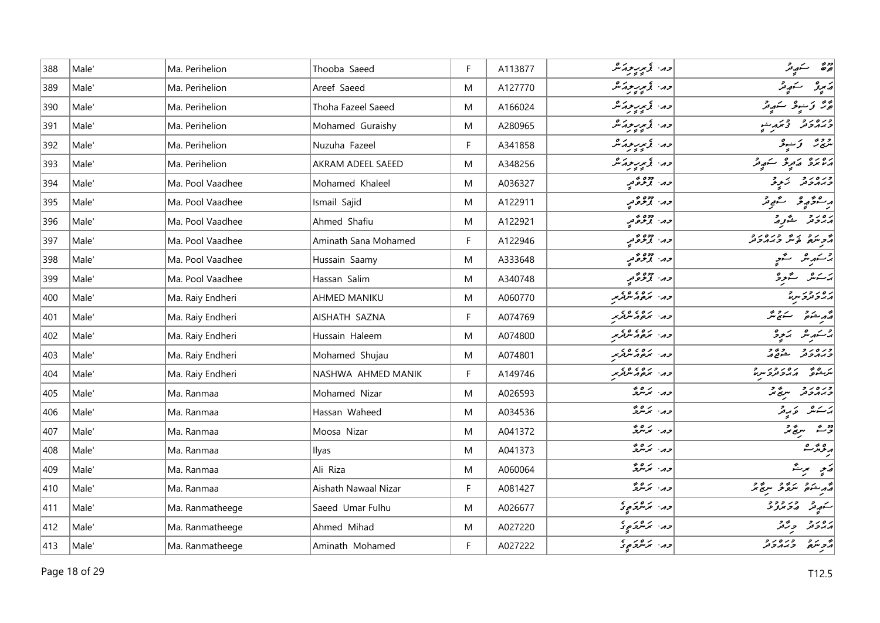| 388 | Male' | Ma. Perihelion   | Thooba Saeed         | F | A113877 | حەر، ئ <sub>ۇ بېرىيە جەم<sup>كە</sup>ر</sub> |                                                         |
|-----|-------|------------------|----------------------|---|---------|----------------------------------------------|---------------------------------------------------------|
| 389 | Male' | Ma. Perihelion   | Areef Saeed          | M | A127770 | دە · . ئې پرېبرو ئەنگ                        |                                                         |
| 390 | Male' | Ma. Perihelion   | Thoha Fazeel Saeed   | M | A166024 | حەر، ئۇمەر <i>جەم</i> كىر                    | دوی کرد و<br>جوہ کرد و<br>دیکھی کرد و<br>جوٹ کی نیو کرد |
| 391 | Male' | Ma. Perihelion   | Mohamed Guraishy     | M | A280965 | در بو توپر پرور شر                           | وره رو د ور<br>در در و تومهر شو                         |
| 392 | Male' | Ma. Perihelion   | Nuzuha Fazeel        | F | A341858 | حەر، ئۇ <i>بېر بېرىدى</i> گە                 | رود کو توسیو کار دیگر<br>سرچ کر دیگر                    |
| 393 | Male' | Ma. Perihelion   | AKRAM ADEEL SAEED    | M | A348256 | دە · . ئې پرېبرو ئەنگ                        | גם גם ביקב הקבר                                         |
| 394 | Male' | Ma. Pool Vaadhee | Mohamed Khaleel      | M | A036327 | وړ٠ ووه تور                                  | ورەرو ئېچى                                              |
| 395 | Male' | Ma. Pool Vaadhee | Ismail Sajid         | M | A122911 | وړ٠ ووه تور                                  | ر سر د چمپو د ستمونر                                    |
| 396 | Male' | Ma. Pool Vaadhee | Ahmed Shafiu         | M | A122921 | د ۱۰ ، ژوه و تو                              | رەرد شرور                                               |
| 397 | Male' | Ma. Pool Vaadhee | Aminath Sana Mohamed | F | A122946 | د ۱۰ ، ژوه د پر                              | د و سرو د پر وره د و                                    |
| 398 | Male' | Ma. Pool Vaadhee | Hussain Saamy        | M | A333648 | د ۱۰ ، ژوڅو په                               | ير سکيږ ملکو په د                                       |
| 399 | Male' | Ma. Pool Vaadhee | Hassan Salim         | M | A340748 | دەر، بۇ ۋە ئەر                               | برَسْدَ سُمْوِدْ                                        |
| 400 | Male' | Ma. Raiy Endheri | <b>AHMED MANIKU</b>  | M | A060770 | ود. بره ده ده بر                             | ג 2 ג 2 ג 2<br>ג ג 3 ג 3 ג 4                            |
| 401 | Male' | Ma. Raiy Endheri | AISHATH SAZNA        | F | A074769 | وړ٠ غږ <i>و ده ده پ</i> ر                    | ۇرمىشو كەچ ئىر                                          |
| 402 | Male' | Ma. Raiy Endheri | Hussain Haleem       | M | A074800 | وړ٠ غروه مرمرمړ                              | بر سکر مرکز بر بر بر دیگر                               |
| 403 | Male' | Ma. Raiy Endheri | Mohamed Shujau       | M | A074801 | وړ٠ غرومي وي                                 | وره رو د و و د<br>تربر د در سنون پر                     |
| 404 | Male' | Ma. Raiy Endheri | NASHWA AHMED MANIK   | F | A149746 | وړ٠ غږوړسونرس                                | مترجع برەرور برد                                        |
| 405 | Male' | Ma. Ranmaa       | Mohamed Nizar        | M | A026593 | وړ٠ برگړو                                    |                                                         |
| 406 | Male' | Ma. Ranmaa       | Hassan Waheed        | M | A034536 | وړ برگړنځ                                    | يزسكرها الحريرة                                         |
| 407 | Male' | Ma. Ranmaa       | Moosa Nizar          | M | A041372 | وړ٠ برگړ                                     | ارسته سرچ تر<br>ا                                       |
| 408 | Male' | Ma. Ranmaa       | Ilyas                | M | A041373 | وړ برگړنځ                                    | اروپرت                                                  |
| 409 | Male' | Ma. Ranmaa       | Ali Riza             | M | A060064 | وړ بر بر                                     | أيمني المرتبة                                           |
| 410 | Male' | Ma. Ranmaa       | Aishath Nawaal Nizar | F | A081427 | وړ٠ برگړ                                     |                                                         |
| 411 | Male' | Ma. Ranmatheege  | Saeed Umar Fulhu     | M | A026677 | وړ٠ مرمر <sub>کو</sub> مو                    | سەرەر ھەمدىرى                                           |
| 412 | Male' | Ma. Ranmatheege  | Ahmed Mihad          | M | A027220 | ور. برگرده و                                 | أرورة ورمز                                              |
| 413 | Male' | Ma. Ranmatheege  | Aminath Mohamed      | F | A027222 | وړ٠ ټرمريږي                                  | أمر و وره در د                                          |
|     |       |                  |                      |   |         |                                              |                                                         |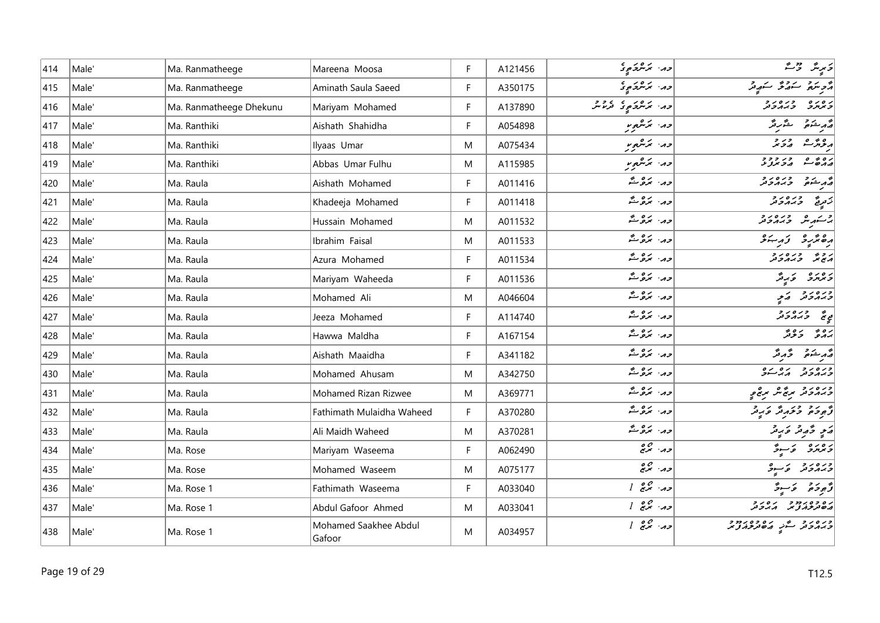| 414 | Male' | Ma. Ranmatheege         | Mareena Moosa                   | F  | A121456 | دړ، نر شرح په         | كە ئېرىگە ئۇ ھەم                                                |
|-----|-------|-------------------------|---------------------------------|----|---------|-----------------------|-----------------------------------------------------------------|
| 415 | Male' | Ma. Ranmatheege         | Aminath Saula Saeed             | F  | A350175 | دړ٠ پر ټروپور         | أمر من الملاحظ المعرفة                                          |
| 416 | Male' | Ma. Ranmatheege Dhekunu | Mariyam Mohamed                 | F  | A137890 | وړ٠ نرمرونږی ترماس    | ג סגם כגם בכ<br>כ <i>אורב בג</i> ובע                            |
| 417 | Male' | Ma. Ranthiki            | Aishath Shahidha                | F  | A054898 | در برگرمور            | وكرم شكور المشرير                                               |
| 418 | Male' | Ma. Ranthiki            | Ilyaas Umar                     | M  | A075434 |                       | مروش مردر                                                       |
| 419 | Male' | Ma. Ranthiki            | Abbas Umar Fulhu                | M  | A115985 | در برگرمبر            | ده ده درودو                                                     |
| 420 | Male' | Ma. Raula               | Aishath Mohamed                 | F. | A011416 | وە، ئۇھ شە            | د دره دره در در د                                               |
| 421 | Male' | Ma. Raula               | Khadeeja Mohamed                | F  | A011418 | وە بىرە شە            | كزمرقح المركزور والمحمد                                         |
| 422 | Male' | Ma. Raula               | Hussain Mohamed                 | M  | A011532 | وە، ئۈەت              | ج ڪرمر هر جر مار ج                                              |
| 423 | Male' | Ma. Raula               | Ibrahim Faisal                  | M  | A011533 | وە بىرە شە            | رە ئۆر ئەب                                                      |
| 424 | Male' | Ma. Raula               | Azura Mohamed                   | F  | A011534 | وە. بۇھ شە            | د و وره رو                                                      |
| 425 | Male' | Ma. Raula               | Mariyam Waheeda                 | F  | A011536 | وە، ئوغ شە            | د ۱۵ د م په تگر                                                 |
| 426 | Male' | Ma. Raula               | Mohamed Ali                     | M  | A046604 | وە. بۇھ شە            | دره د د کرم                                                     |
| 427 | Male' | Ma. Raula               | Jeeza Mohamed                   | F  | A114740 | وە، ئۇھ.ش             | مِي صَحْبِ وَيَرَ وَيَرَ وَيَرَ                                 |
| 428 | Male' | Ma. Raula               | Hawwa Maldha                    | F  | A167154 | وە بىرە شە            | رە بەرە بەر<br>بەيرى كەنزىتر                                    |
| 429 | Male' | Ma. Raula               | Aishath Maaidha                 | F  | A341182 | وە. ئۇھ.ش             | مەر شەر ئەر                                                     |
| 430 | Male' | Ma. Raula               | Mohamed Ahusam                  | M  | A342750 | دە. ئرەت              | כנים נים בים                                                    |
| 431 | Male' | Ma. Raula               | Mohamed Rizan Rizwee            | M  | A369771 | وە، برەپ              | ورورو برځ کر برج و                                              |
| 432 | Male' | Ma. Raula               | Fathimath Mulaidha Waheed       | F. | A370280 | حەر بىرە ئە           | و وده د درد کارد                                                |
| 433 | Male' | Ma. Raula               | Ali Maidh Waheed                | M  | A370281 | حەر، ئىزەڭ            | ړَ په دُورته وَ په په                                           |
| 434 | Male' | Ma. Rose                | Mariyam Waseema                 | F  | A062490 | وړ کړه                | ویروز و سوژ                                                     |
| 435 | Male' | Ma. Rose                | Mohamed Waseem                  | M  | A075177 | $rac{1}{2}$ כוז - מיש | ورەرو كەسوۋ                                                     |
| 436 | Male' | Ma. Rose 1              | Fathimath Waseema               | F  | A033040 | 182.75                | أزُّهِ وَمَ وَسِيوَّ                                            |
| 437 | Male' | Ma. Rose 1              | Abdul Gafoor Ahmed              | M  | A033041 | 182.75                | קס כס קבב – קס קב<br>השית יכול – ה' הרבת                        |
| 438 | Male' | Ma. Rose 1              | Mohamed Saakhee Abdul<br>Gafoor | M  | A034957 | 182.15                | ورەرو گۆپ رەۋەرەدو<br><i>وبرە</i> روتر گۆپ ھەت <i>رىۋەر</i> ۇبر |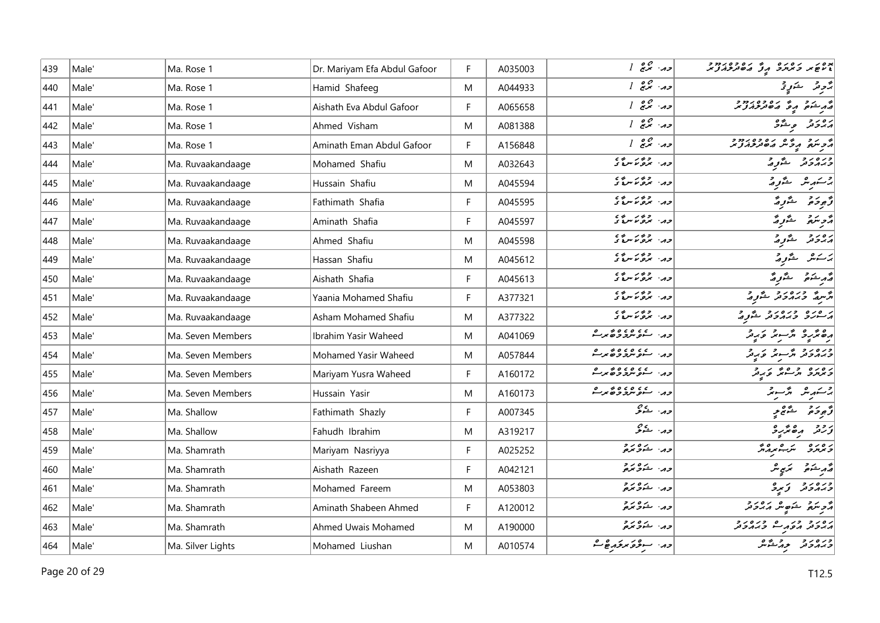| 439 | Male' | Ma. Rose 1        | Dr. Mariyam Efa Abdul Gafoor | F  | A035003 | 182.15                                                                                                                                                                                                                                                                                                                          |                                                |
|-----|-------|-------------------|------------------------------|----|---------|---------------------------------------------------------------------------------------------------------------------------------------------------------------------------------------------------------------------------------------------------------------------------------------------------------------------------------|------------------------------------------------|
| 440 | Male' | Ma. Rose 1        | Hamid Shafeeq                | M  | A044933 | 192.75                                                                                                                                                                                                                                                                                                                          | پژونژ خوړنځ                                    |
| 441 | Male' | Ma. Rose 1        | Aishath Eva Abdul Gafoor     | F. | A065658 | 188.15                                                                                                                                                                                                                                                                                                                          |                                                |
| 442 | Male' | Ma. Rose 1        | Ahmed Visham                 | M  | A081388 | 182.15                                                                                                                                                                                                                                                                                                                          | ره رو دره و                                    |
| 443 | Male' | Ma. Rose 1        | Aminath Eman Abdul Gafoor    | F  | A156848 | 182.75                                                                                                                                                                                                                                                                                                                          | ه درو گروه ده ده دود<br>مرد شي گروه ما مورد در |
| 444 | Male' | Ma. Ruvaakandaage | Mohamed Shafiu               | M  | A032643 | دە. بەرگە ئەدەبىي                                                                                                                                                                                                                                                                                                               | وره دو شود                                     |
| 445 | Male' | Ma. Ruvaakandaage | Hussain Shafiu               | M  | A045594 | وړ کوځو ته ده ده کال                                                                                                                                                                                                                                                                                                            | يز سەر شەر ئىقرور                              |
| 446 | Male' | Ma. Ruvaakandaage | Fathimath Shafia             | F  | A045595 | وړ کوځو <i>ټولو</i> ي                                                                                                                                                                                                                                                                                                           | توجوخو شرورة                                   |
| 447 | Male' | Ma. Ruvaakandaage | Aminath Shafia               | F  | A045597 | وړ کوځو ته ده ده کال                                                                                                                                                                                                                                                                                                            | ړ څر سره<br>شگورگ                              |
| 448 | Male' | Ma. Ruvaakandaage | Ahmed Shafiu                 | M  | A045598 | دە. بەرگە ئەدەبىي                                                                                                                                                                                                                                                                                                               | بره رو شور                                     |
| 449 | Male' | Ma. Ruvaakandaage | Hassan Shafiu                | M  | A045612 | כו <i>י ייפ</i> ל ייש                                                                                                                                                                                                                                                                                                           | پرسەش شۇرقە                                    |
| 450 | Male' | Ma. Ruvaakandaage | Aishath Shafia               | F  | A045613 | $\begin{array}{cc} 0 & 0 & 0 & 0 \\ 0 & 0 & 0 & 0 \\ 0 & 0 & 0 & 0 \\ 0 & 0 & 0 & 0 \\ 0 & 0 & 0 & 0 \\ 0 & 0 & 0 & 0 \\ 0 & 0 & 0 & 0 \\ 0 & 0 & 0 & 0 \\ 0 & 0 & 0 & 0 \\ 0 & 0 & 0 & 0 \\ 0 & 0 & 0 & 0 & 0 \\ 0 & 0 & 0 & 0 & 0 \\ 0 & 0 & 0 & 0 & 0 \\ 0 & 0 & 0 & 0 & 0 \\ 0 & 0 & 0 & 0 & 0 \\ 0 & 0 & 0 & 0 & 0 \\ 0 &$ | ۇرىشكى ئىگرۇ                                   |
| 451 | Male' | Ma. Ruvaakandaage | Yaania Mohamed Shafiu        | F  | A377321 | وړ کوځو ته ده ده کال                                                                                                                                                                                                                                                                                                            | ترسر ورورو ځور                                 |
| 452 | Male' | Ma. Ruvaakandaage | Asham Mohamed Shafiu         | M  | A377322 | دە. بەۋىي سۇ ئ                                                                                                                                                                                                                                                                                                                  | ر ٥٧٥ ور٥٧٥. گرو                               |
| 453 | Male' | Ma. Seven Members | Ibrahim Yasir Waheed         | M  | A041069 | ے ے معرورہ ہور<br>وہ سور سرورہ ہوسے                                                                                                                                                                                                                                                                                             | رە ئرىر ئىر ئىر ئىرىر                          |
| 454 | Male' | Ma. Seven Members | Mohamed Yasir Waheed         | M  | A057844 | حەر، سىۋىروھ تەرە                                                                                                                                                                                                                                                                                                               | ورەرو ئرىسى كېرى                               |
| 455 | Male' | Ma. Seven Members | Mariyam Yusra Waheed         | F  | A160172 | ے ے معرورہ ہور<br>وہ سور سرورہ ہوسے                                                                                                                                                                                                                                                                                             | ر ۲۰۰۵ و ۶۵ ر در                               |
| 456 | Male' | Ma. Seven Members | Hussain Yasir                | M  | A160173 | ے یہ وہ وہ برے<br>وہ سور سرو وہ برے                                                                                                                                                                                                                                                                                             | ج سے <sub>م</sub> یر میں میر کے میر            |
| 457 | Male' | Ma. Shallow       | Fathimath Shazly             | F  | A007345 | وړ شوگو                                                                                                                                                                                                                                                                                                                         | ژودۇ شەر                                       |
| 458 | Male' | Ma. Shallow       | Fahudh Ibrahim               | M  | A319217 | وړ شوگو                                                                                                                                                                                                                                                                                                                         | دود مەمگرىد                                    |
| 459 | Male' | Ma. Shamrath      | Mariyam Nasriyya             | F  | A025252 | وړ٠ شوڅ پره                                                                                                                                                                                                                                                                                                                     | גם גם הגם בית.<br>המחבר ית. הממח               |
| 460 | Male' | Ma. Shamrath      | Aishath Razeen               | F. | A042121 | وړ٠ شوڅ پره                                                                                                                                                                                                                                                                                                                     | ۇرمىسكە ئىس ئىر                                |
| 461 | Male' | Ma. Shamrath      | Mohamed Fareem               | M  | A053803 | ود. شود بره                                                                                                                                                                                                                                                                                                                     | ورەرد ترىرە                                    |
| 462 | Male' | Ma. Shamrath      | Aminath Shabeen Ahmed        | F. | A120012 | وړ شوڅ پره                                                                                                                                                                                                                                                                                                                      | أزويتهم شوه شرور ورو                           |
| 463 | Male' | Ma. Shamrath      | <b>Ahmed Uwais Mohamed</b>   | M  | A190000 | وړ شور پره                                                                                                                                                                                                                                                                                                                      | גם ג' ג' הפתיש בגם גב                          |
| 464 | Male' | Ma. Silver Lights | Mohamed Liushan              | M  | A010574 | دە· سوۋىم <i>رۇر</i> ۇش                                                                                                                                                                                                                                                                                                         | ورەرو دەشگەر                                   |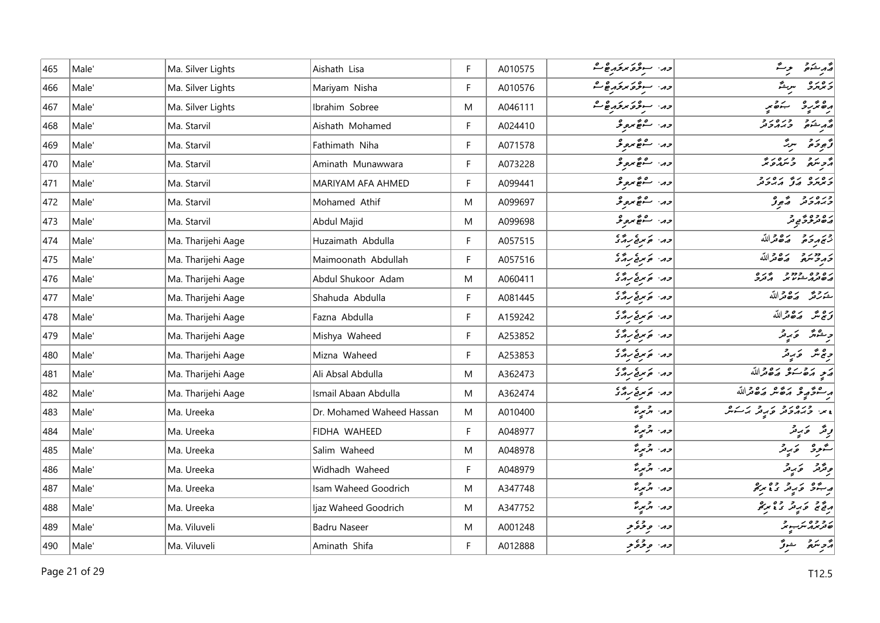| 465 | Male' | Ma. Silver Lights  | Aishath Lisa              | $\mathsf F$ | A010575 | دە· سوۋىمەدەھ شە                | و ديدو وت                                            |
|-----|-------|--------------------|---------------------------|-------------|---------|---------------------------------|------------------------------------------------------|
| 466 | Male' | Ma. Silver Lights  | Mariyam Nisha             | F           | A010576 | در سردهٔ مرزم و                 | ر ه ر ه<br><del>و</del> بربرو                        |
| 467 | Male' | Ma. Silver Lights  | Ibrahim Sobree            | M           | A046111 | حديب سوفرة برقرم قائس           | ە ھېڭرىرى<br>بر ھېڭرىرى<br>بذة بر                    |
| 468 | Male' | Ma. Starvil        | Aishath Mohamed           | F           | A024410 | حەربە ئەھم بىر بۇ               | و ره ر و<br><i>و پر</i> و تر<br>پ <sup>و</sup> مرشوح |
| 469 | Male' | Ma. Starvil        | Fathimath Niha            | F           | A071578 | حد حقيد و                       | و بر د<br>ترجو څخه<br>سرچ                            |
| 470 | Male' | Ma. Starvil        | Aminath Munawwara         | $\mathsf F$ | A073228 | ور. سۇھىرو ئ                    | أأدمره وره دي                                        |
| 471 | Male' | Ma. Starvil        | MARIYAM AFA AHMED         | F           | A099441 | در. ڪوهمبرو و                   | ג סגם גב גםגב<br>בינו <i>וב הצ</i> הגבת              |
| 472 | Male' | Ma. Starvil        | Mohamed Athif             | M           | A099697 | حدث سقوة بروقه                  | ورەر دەر                                             |
| 473 | Male' | Ma. Starvil        | Abdul Majid               | M           | A099698 | در. ڪوهمبور                     | ړه وه د و.<br>پرېفرمرگور                             |
| 474 | Male' | Ma. Tharijehi Aage | Huzaimath Abdulla         | F           | A057515 | כו <i>גי המתפתח</i> ת           | جيم مرحم وكامحم الله                                 |
| 475 | Male' | Ma. Tharijehi Aage | Maimoonath Abdullah       | F           | A057516 | בגי פיצי מגי                    | بر دوبر و بره درالله                                 |
| 476 | Male' | Ma. Tharijehi Aage | Abdul Shukoor Adam        | M           | A060411 | حەر. ئۇ <i>برقى بەرگى</i>       | ره وه ودوو میره<br>پره تربر شریر بر برتر تر          |
| 477 | Male' | Ma. Tharijehi Aage | Shahuda Abdulla           | F           | A081445 |                                 | خَرَتَرَ مَرْهُ قَرَاللَّهُ                          |
| 478 | Male' | Ma. Tharijehi Aage | Fazna Abdulla             | $\mathsf F$ | A159242 |                                 | ترجيم كالحافظة                                       |
| 479 | Male' | Ma. Tharijehi Aage | Mishya Waheed             | F           | A253852 | وړ٠ هُ <sub>مو</sub> ځ روځ      | ويشهرٌ - حَ بِرِ تَدْ                                |
| 480 | Male' | Ma. Tharijehi Aage | Mizna Waheed              | $\mathsf F$ | A253853 | حەر، ئومرىقى <i>بەل</i> گى      | حريج مثر - حَرِيثَرُ                                 |
| 481 | Male' | Ma. Tharijehi Aage | Ali Absal Abdulla         | M           | A362473 | حەر، ئۇ بوقى بەرگە ئى           | أرَمِ رَرَّ رَرَّ رَرَّ قَرْاللَّهُ                  |
| 482 | Male' | Ma. Tharijehi Aage | Ismail Abaan Abdulla      | M           | A362474 | حەر، ئۇ بوقى بەرگە ئى           | مر صوح ديده من مقدالله                               |
| 483 | Male' | Ma. Ureeka         | Dr. Mohamed Waheed Hassan | M           | A010400 | حەر بە ترىپەرتى<br>مە           | ، پر <i>وړه د و په پر تر ټر</i> کر                   |
| 484 | Male' | Ma. Ureeka         | FIDHA WAHEED              | $\mathsf F$ | A048977 | حەر. مۇمەرىم                    | دِمَّد كَارِيْر                                      |
| 485 | Male' | Ma. Ureeka         | Salim Waheed              | M           | A048978 | حەر بىر تەرى <i>م</i>           | ستوو وَرِمْر                                         |
| 486 | Male' | Ma. Ureeka         | Widhadh Waheed            | F           | A048979 | حەر. بىر <i>مەي</i> رىدا        | وقرقر تزبرته                                         |
| 487 | Male' | Ma. Ureeka         | Isam Waheed Goodrich      | M           | A347748 | حەر بىر بىرىد <i>ە</i><br>مەسىر | و شرح کار ده ده ده.                                  |
| 488 | Male' | Ma. Ureeka         | Ijaz Waheed Goodrich      | M           | A347752 | در بر مرسمه                     | وقع وريد وومره                                       |
| 489 | Male' | Ma. Viluveli       | <b>Badru Naseer</b>       | M           | A001248 | در و ده د                       | ر د ده ه<br>حربرد مرب بر                             |
| 490 | Male' | Ma. Viluveli       | Aminath Shifa             | F           | A012888 | در و ده د                       | أترجر سنوقر                                          |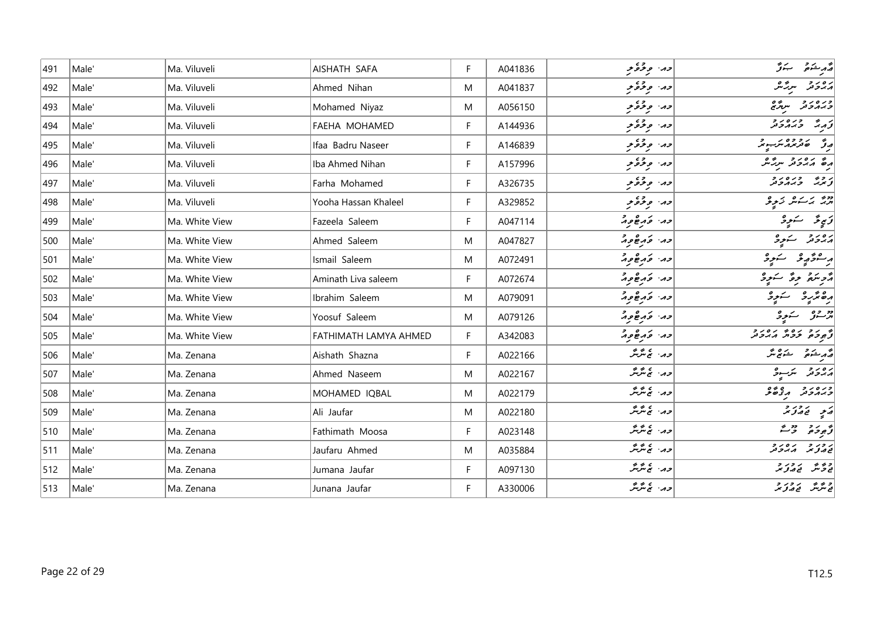| 491 | Male' | Ma. Viluveli   | <b>AISHATH SAFA</b>   | F  | A041836 | دړ· وڅونو       | ا پر در شوه<br>ا<br>ىبە ئۇ                          |
|-----|-------|----------------|-----------------------|----|---------|-----------------|-----------------------------------------------------|
| 492 | Male' | Ma. Viluveli   | Ahmed Nihan           | M  | A041837 | در و ده د       | دەرو سرگىر                                          |
| 493 | Male' | Ma. Viluveli   | Mohamed Niyaz         | M  | A056150 | در و ده د       | <i>3 ر 2 ر 3</i><br>  <i>5 بر ۹ ر</i> 5 تر<br>سرگرم |
| 494 | Male' | Ma. Viluveli   | FAEHA MOHAMED         | F  | A144936 | در و ده د       | ورد وره دو                                          |
| 495 | Male' | Ma. Viluveli   | Ifaa Badru Naseer     | F  | A146839 | در و ده د       | ر ژنج ن در ده بر به در<br>در زن ن مورد بر به بر     |
| 496 | Male' | Ma. Viluveli   | Iba Ahmed Nihan       | F  | A157996 | در و ده د       | أرة أبردو سرقين                                     |
| 497 | Male' | Ma. Viluveli   | Farha Mohamed         | F  | A326735 | در و ده د       | و و دره دره                                         |
| 498 | Male' | Ma. Viluveli   | Yooha Hassan Khaleel  | F  | A329852 | در ویڅو         | أدبو برسه روو                                       |
| 499 | Male' | Ma. White View | Fazeela Saleem        | F  | A047114 | בו בתשפה        | ۇي ئە ئىمۇد                                         |
| 500 | Male' | Ma. White View | Ahmed Saleem          | M  | A047827 | בו פֿו פּפּ     | ړه رو سکو د                                         |
| 501 | Male' | Ma. White View | Ismail Saleem         | M  | A072491 | בו פֿו פּטו     | أبر شۇ ئېچ ئىستېرو                                  |
| 502 | Male' | Ma. White View | Aminath Liva saleem   | F  | A072674 | בו פֿו פּפּ     | أأزوبتكم وقرأ سكوفة                                 |
| 503 | Male' | Ma. White View | Ibrahim Saleem        | M  | A079091 | בו פֿו פּפּ     | أرەنزىر ئىرو                                        |
| 504 | Male' | Ma. White View | Yoosuf Saleem         | M  | A079126 | בו פֿו פּפּ     | پور ده<br>  پوستونی سنگوری                          |
| 505 | Male' | Ma. White View | FATHIMATH LAMYA AHMED | F  | A342083 | בו פֿו פּטו     | و د د ده د ده د د                                   |
| 506 | Male' | Ma. Zenana     | Aishath Shazna        | F  | A022166 | د مېشتگرىنگر    | أقرار مشوقى مشوجى مكر                               |
| 507 | Male' | Ma. Zenana     | Ahmed Naseem          | M  | A022167 | حەر ، ئى ئىرىتر | دەرو سەبدۇ                                          |
| 508 | Male' | Ma. Zenana     | MOHAMED IQBAL         | M  | A022179 | حەر، ئى ئىرىتر  | وره رو وه وه                                        |
| 509 | Male' | Ma. Zenana     | Ali Jaufar            | M  | A022180 | د مېشتر شر      | أەي ئەرزىر                                          |
| 510 | Male' | Ma. Zenana     | Fathimath Moosa       | F. | A023148 | حەر، ئى ئىرتىگە | أؤبوره وحرث                                         |
| 511 | Male' | Ma. Zenana     | Jaufaru Ahmed         | M  | A035884 | حەر ، ئى ئىرىتر | נ כני כי גם ניביק.<br>המלידה והליביקה               |
| 512 | Male' | Ma. Zenana     | Jumana Jaufar         | F  | A097130 | حەر ، ئى ئىرىتر | و د د د د د<br>  پنځ ش پنې تر تر تر                 |
| 513 | Male' | Ma. Zenana     | Junana Jaufar         | F. | A330006 | د مې ځ متر متر  | و شر شهر در د                                       |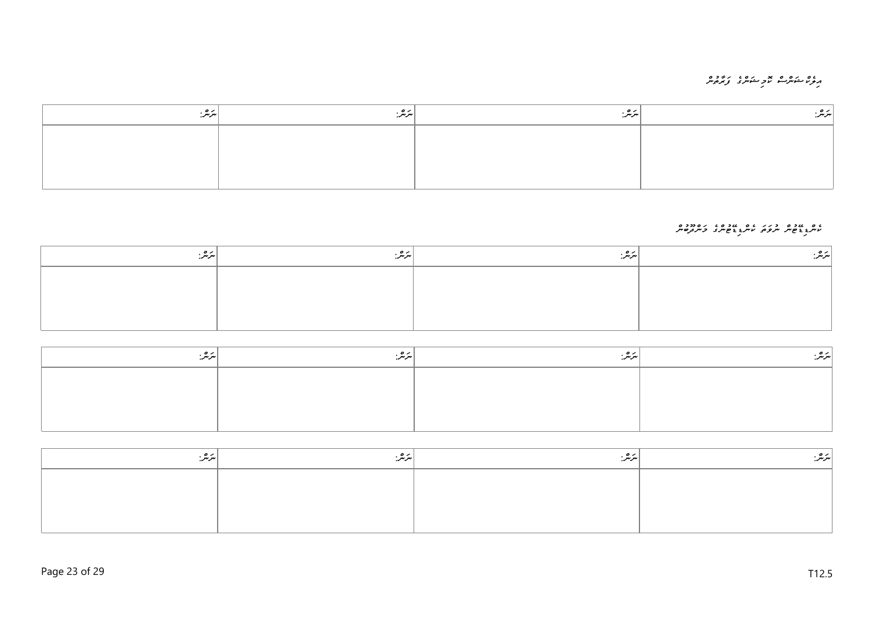## *w7qAn8m?sCw7mRo>u;wEw7mRw;sBo<*

| ' مرمر | 'يئرىثر: |
|--------|----------|
|        |          |
|        |          |
|        |          |

## *w7q9r@w7m>sCw7qHtFoFw7s;mAm=q7w7qHtFoFw7s;*

| ىر تە | $\mathcal{O} \times$<br>$\sim$ | $\sim$<br>. . | لترنثر |
|-------|--------------------------------|---------------|--------|
|       |                                |               |        |
|       |                                |               |        |
|       |                                |               |        |

| انترنثر: | $^{\circ}$ | يبرهر | $^{\circ}$<br>سرسر |
|----------|------------|-------|--------------------|
|          |            |       |                    |
|          |            |       |                    |
|          |            |       |                    |

| ىرتىر: | 。<br>سر سر | .,<br>مرسر |
|--------|------------|------------|
|        |            |            |
|        |            |            |
|        |            |            |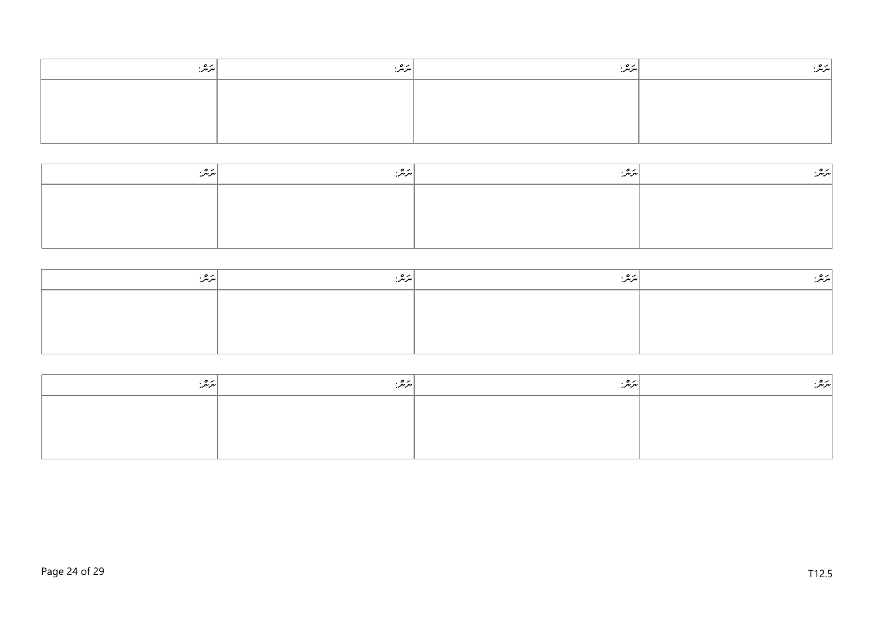| يزهر | $^{\circ}$ | ىئرىتر: |  |
|------|------------|---------|--|
|      |            |         |  |
|      |            |         |  |
|      |            |         |  |

| <sup>.</sup> سرسر. |  |
|--------------------|--|
|                    |  |
|                    |  |
|                    |  |

| ىئرىتر. | $\sim$ | ا بر هه. | لىرىش |
|---------|--------|----------|-------|
|         |        |          |       |
|         |        |          |       |
|         |        |          |       |

| يترمثر | $^{\circ}$ | ىر پىر |
|--------|------------|--------|
|        |            |        |
|        |            |        |
|        |            |        |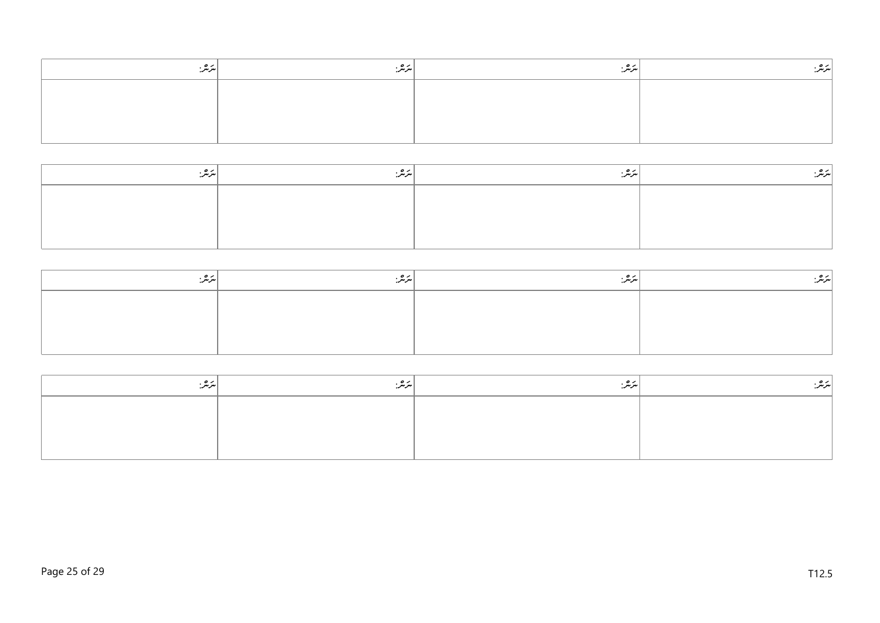| ير هو . | $\overline{\phantom{a}}$ | يرمر | اير هنه. |
|---------|--------------------------|------|----------|
|         |                          |      |          |
|         |                          |      |          |
|         |                          |      |          |

| ئىرتىر: | $\sim$<br>ا سرسر . | يئرمثر | o . |
|---------|--------------------|--------|-----|
|         |                    |        |     |
|         |                    |        |     |
|         |                    |        |     |

| الترنثر: | ' مرتكز: | الترنثر: | .,<br>سرسر. |
|----------|----------|----------|-------------|
|          |          |          |             |
|          |          |          |             |
|          |          |          |             |

|  | . ه |
|--|-----|
|  |     |
|  |     |
|  |     |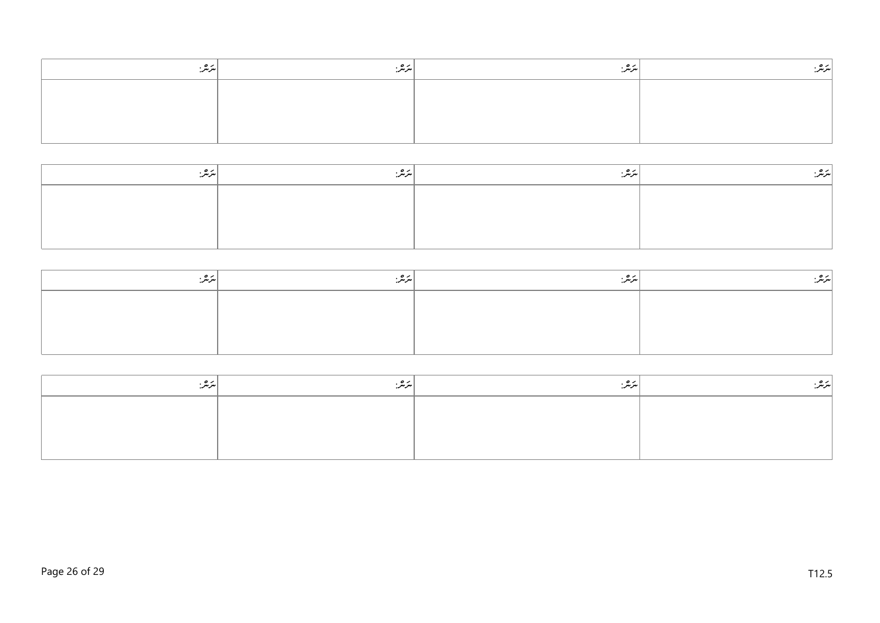| ير هو . | $\overline{\phantom{a}}$ | يرمر | اير هنه. |
|---------|--------------------------|------|----------|
|         |                          |      |          |
|         |                          |      |          |
|         |                          |      |          |

| ىر تىر: | $\circ$ $\sim$<br>" سرسر . | يبرحه | o . |
|---------|----------------------------|-------|-----|
|         |                            |       |     |
|         |                            |       |     |
|         |                            |       |     |

| نتزيتر به | 。 | 。<br>سرسر. | o <i>~</i> |
|-----------|---|------------|------------|
|           |   |            |            |
|           |   |            |            |
|           |   |            |            |

|  | . ه |
|--|-----|
|  |     |
|  |     |
|  |     |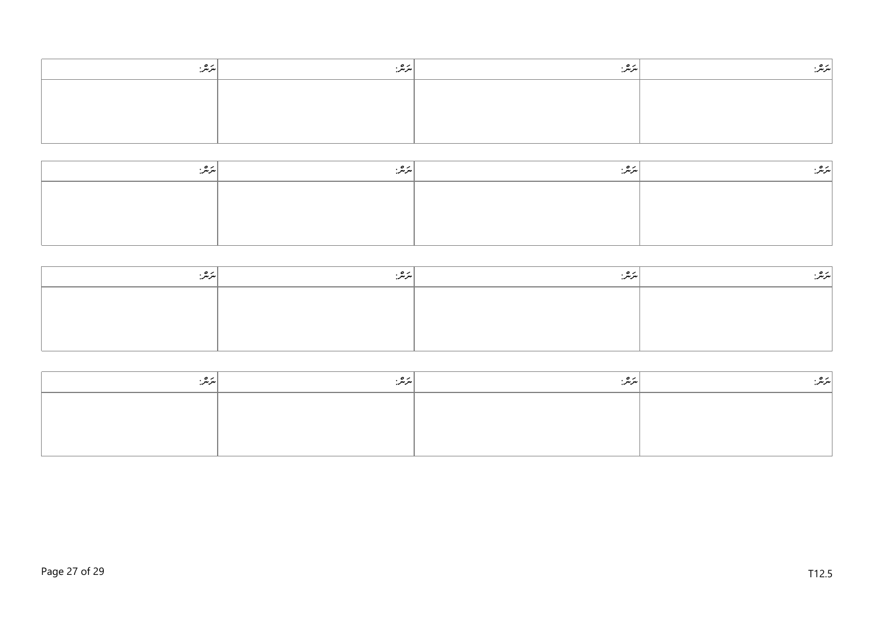| ير هو . | $\overline{\phantom{a}}$ | يرمر | لتزمثن |
|---------|--------------------------|------|--------|
|         |                          |      |        |
|         |                          |      |        |
|         |                          |      |        |

| يريثن | ' سرسر . |  |
|-------|----------|--|
|       |          |  |
|       |          |  |
|       |          |  |

| بر ه | 。 | $\sim$<br>َ سومس. |  |
|------|---|-------------------|--|
|      |   |                   |  |
|      |   |                   |  |
|      |   |                   |  |

| 。<br>. س | ىرىىر |  |
|----------|-------|--|
|          |       |  |
|          |       |  |
|          |       |  |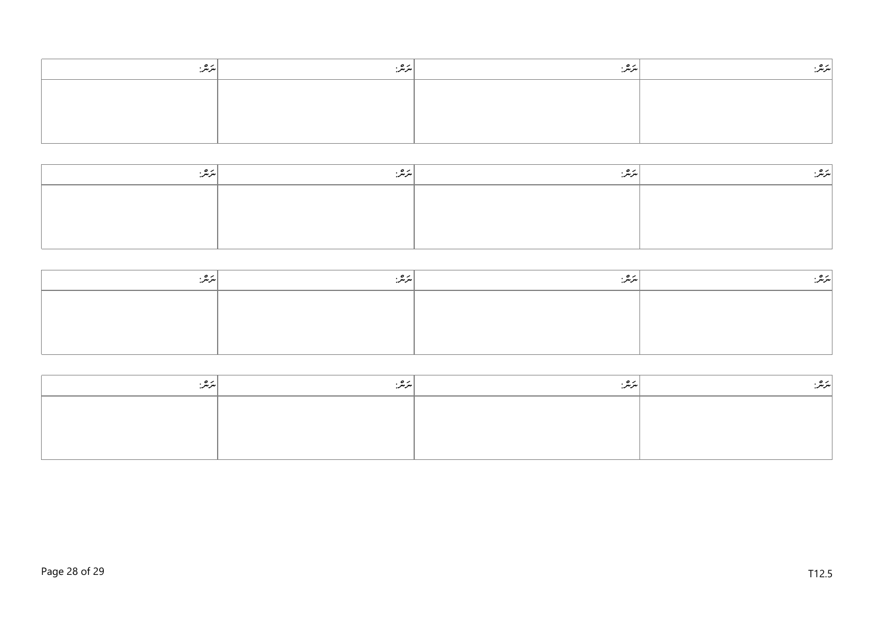| ير هو . | $\overline{\phantom{a}}$ | يرمر | لتزمثن |
|---------|--------------------------|------|--------|
|         |                          |      |        |
|         |                          |      |        |
|         |                          |      |        |

| ىر تىر: | $\circ$ $\sim$<br>" سرسر . | يبرحه | o . |
|---------|----------------------------|-------|-----|
|         |                            |       |     |
|         |                            |       |     |
|         |                            |       |     |

| نتزيتر به | 。 | 。<br>سرسر. | o <i>~</i> |
|-----------|---|------------|------------|
|           |   |            |            |
|           |   |            |            |
|           |   |            |            |

|  | . ه |
|--|-----|
|  |     |
|  |     |
|  |     |